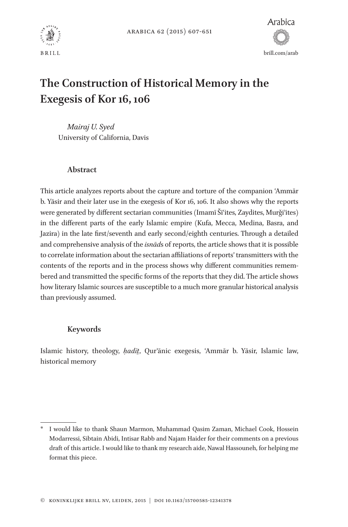



# **The Construction of Historical Memory in the Exegesis of Kor 16, 106**

*Mairaj U. Syed* University of California, Davis

## **Abstract**

This article analyzes reports about the capture and torture of the companion ʿAmmār b. Yāsir and their later use in the exegesis of Kor 16, 106. It also shows why the reports were generated by different sectarian communities (Imamī Šīʿites, Zaydites, Murǧiʾites) in the different parts of the early Islamic empire (Kufa, Mecca, Medina, Basra, and Jazira) in the late first/seventh and early second/eighth centuries. Through a detailed and comprehensive analysis of the *isnād*s of reports, the article shows that it is possible to correlate information about the sectarian affiliations of reports' transmitters with the contents of the reports and in the process shows why different communities remembered and transmitted the specific forms of the reports that they did. The article shows how literary Islamic sources are susceptible to a much more granular historical analysis than previously assumed.

# **Keywords**

Islamic history, theology, *ḥadīṯ*, Qurʾānic exegesis, ʿAmmār b. Yāsir, Islamic law, historical memory

I would like to thank Shaun Marmon, Muhammad Qasim Zaman, Michael Cook, Hossein Modarressi, Sibtain Abidi, Intisar Rabb and Najam Haider for their comments on a previous draft of this article. I would like to thank my research aide, Nawal Hassouneh, for helping me format this piece.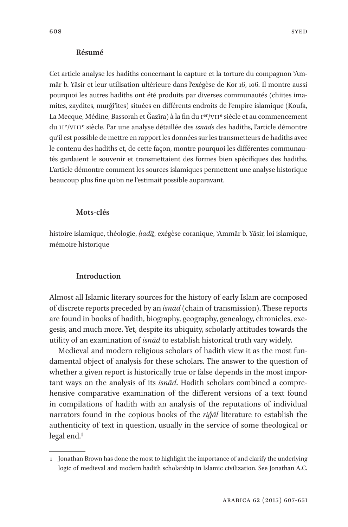## **Résumé**

Cet article analyse les hadiths concernant la capture et la torture du compagnon ʿAmmār b. Yāsir et leur utilisation ultérieure dans l'exégèse de Kor 16, 106. Il montre aussi pourquoi les autres hadiths ont été produits par diverses communautés (chiites imamites, zaydites, murǧiʾites) situées en différents endroits de l'empire islamique (Koufa, La Mecque, Médine, Bassorah et Ğazīra) à la fin du I<sup>er</sup>/VII<sup>e</sup> siècle et au commencement du IIe/VIIIe siècle. Par une analyse détaillée des *isnād*s des hadiths, l'article démontre qu'il est possible de mettre en rapport les données sur les transmetteurs de hadiths avec le contenu des hadiths et, de cette façon, montre pourquoi les différentes communautés gardaient le souvenir et transmettaient des formes bien spécifiques des hadiths. L'article démontre comment les sources islamiques permettent une analyse historique beaucoup plus fine qu'on ne l'estimait possible auparavant.

#### **Mots-clés**

histoire islamique, théologie, *ḥadīṯ*, exégèse coranique, ʿAmmār b. Yāsir, loi islamique, mémoire historique

## **Introduction**

Almost all Islamic literary sources for the history of early Islam are composed of discrete reports preceded by an *isnād* (chain of transmission). These reports are found in books of hadith, biography, geography, genealogy, chronicles, exegesis, and much more. Yet, despite its ubiquity, scholarly attitudes towards the utility of an examination of *isnād* to establish historical truth vary widely.

Medieval and modern religious scholars of hadith view it as the most fundamental object of analysis for these scholars. The answer to the question of whether a given report is historically true or false depends in the most important ways on the analysis of its *isnād*. Hadith scholars combined a comprehensive comparative examination of the different versions of a text found in compilations of hadith with an analysis of the reputations of individual narrators found in the copious books of the *riǧāl* literature to establish the authenticity of text in question, usually in the service of some theological or legal end.1

<sup>1</sup> Jonathan Brown has done the most to highlight the importance of and clarify the underlying logic of medieval and modern hadith scholarship in Islamic civilization. See Jonathan A.C.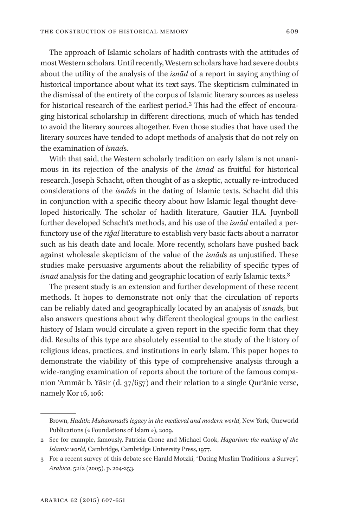The approach of Islamic scholars of hadith contrasts with the attitudes of most Western scholars. Until recently, Western scholars have had severe doubts about the utility of the analysis of the *isnād* of a report in saying anything of historical importance about what its text says. The skepticism culminated in the dismissal of the entirety of the corpus of Islamic literary sources as useless for historical research of the earliest period.2 This had the effect of encouraging historical scholarship in different directions, much of which has tended to avoid the literary sources altogether. Even those studies that have used the literary sources have tended to adopt methods of analysis that do not rely on the examination of *isnād*s.

With that said, the Western scholarly tradition on early Islam is not unanimous in its rejection of the analysis of the *isnād* as fruitful for historical research. Joseph Schacht, often thought of as a skeptic, actually re-introduced considerations of the *isnād*s in the dating of Islamic texts. Schacht did this in conjunction with a specific theory about how Islamic legal thought developed historically. The scholar of hadith literature, Gautier H.A. Juynboll further developed Schacht's methods, and his use of the *isnād* entailed a perfunctory use of the *riǧāl* literature to establish very basic facts about a narrator such as his death date and locale. More recently, scholars have pushed back against wholesale skepticism of the value of the *isnād*s as unjustified. These studies make persuasive arguments about the reliability of specific types of *isnād* analysis for the dating and geographic location of early Islamic texts.3

The present study is an extension and further development of these recent methods. It hopes to demonstrate not only that the circulation of reports can be reliably dated and geographically located by an analysis of *isnād*s, but also answers questions about why different theological groups in the earliest history of Islam would circulate a given report in the specific form that they did. Results of this type are absolutely essential to the study of the history of religious ideas, practices, and institutions in early Islam. This paper hopes to demonstrate the viability of this type of comprehensive analysis through a wide-ranging examination of reports about the torture of the famous companion ʿAmmār b. Yāsir (d. 37/657) and their relation to a single Qurʾānic verse, namely Kor 16, 106:

Brown, *Hadith: Muhammad's legacy in the medieval and modern world*, New York, Oneworld Publications (« Foundations of Islam »), 2009.

<sup>2</sup> See for example, famously, Patricia Crone and Michael Cook, *Hagarism: the making of the Islamic world*, Cambridge, Cambridge University Press, 1977.

<sup>3</sup> For a recent survey of this debate see Harald Motzki, "Dating Muslim Traditions: a Survey", *Arabica*, 52/2 (2005), p. 204-253.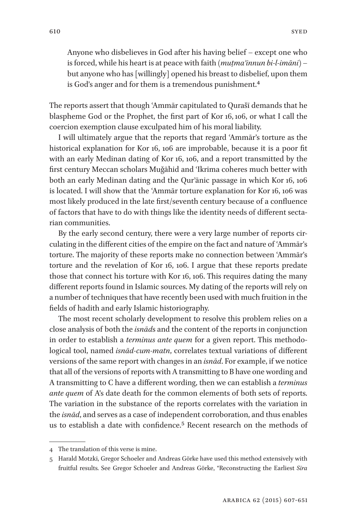Anyone who disbelieves in God after his having belief – except one who is forced, while his heart is at peace with faith (*muṭmaʾinnun bi-l-imāni*) – but anyone who has [willingly] opened his breast to disbelief, upon them is God's anger and for them is a tremendous punishment.4

The reports assert that though ʿAmmār capitulated to Qurašī demands that he blaspheme God or the Prophet, the first part of Kor 16, 106, or what I call the coercion exemption clause exculpated him of his moral liability.

I will ultimately argue that the reports that regard ʿAmmār's torture as the historical explanation for Kor 16, 106 are improbable, because it is a poor fit with an early Medinan dating of Kor 16, 106, and a report transmitted by the first century Meccan scholars Muǧāhid and ʿIkrima coheres much better with both an early Medinan dating and the Qurʾānic passage in which Kor 16, 106 is located. I will show that the ʿAmmār torture explanation for Kor 16, 106 was most likely produced in the late first/seventh century because of a confluence of factors that have to do with things like the identity needs of different sectarian communities.

By the early second century, there were a very large number of reports circulating in the different cities of the empire on the fact and nature of ʿAmmār's torture. The majority of these reports make no connection between ʿAmmār's torture and the revelation of Kor 16, 106. I argue that these reports predate those that connect his torture with Kor 16, 106. This requires dating the many different reports found in Islamic sources. My dating of the reports will rely on a number of techniques that have recently been used with much fruition in the fields of hadith and early Islamic historiography.

The most recent scholarly development to resolve this problem relies on a close analysis of both the *isnād*s and the content of the reports in conjunction in order to establish a *terminus ante quem* for a given report. This methodological tool, named *isnād-cum-matn*, correlates textual variations of different versions of the same report with changes in an *isnād*. For example, if we notice that all of the versions of reports with A transmitting to B have one wording and A transmitting to C have a different wording, then we can establish a *terminus ante quem* of A's date death for the common elements of both sets of reports. The variation in the substance of the reports correlates with the variation in the *isnād*, and serves as a case of independent corroboration, and thus enables us to establish a date with confidence.5 Recent research on the methods of

<sup>4</sup> The translation of this verse is mine.

<sup>5</sup> Harald Motzki, Gregor Schoeler and Andreas Görke have used this method extensively with fruitful results. See Gregor Schoeler and Andreas Görke, "Reconstructing the Earliest *Sīra*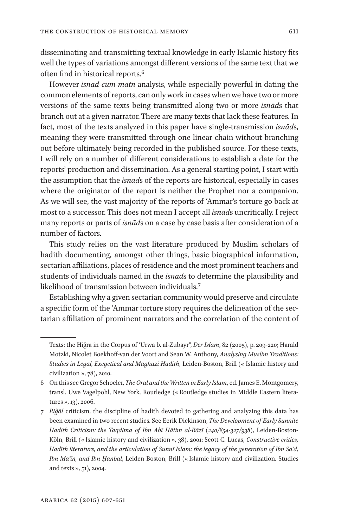disseminating and transmitting textual knowledge in early Islamic history fits well the types of variations amongst different versions of the same text that we often find in historical reports.6

However *isnād-cum-matn* analysis, while especially powerful in dating the common elements of reports, can only work in cases when we have two or more versions of the same texts being transmitted along two or more *isnād*s that branch out at a given narrator. There are many texts that lack these features. In fact, most of the texts analyzed in this paper have single-transmission *isnād*s, meaning they were transmitted through one linear chain without branching out before ultimately being recorded in the published source. For these texts, I will rely on a number of different considerations to establish a date for the reports' production and dissemination. As a general starting point, I start with the assumption that the *isnād*s of the reports are historical, especially in cases where the originator of the report is neither the Prophet nor a companion. As we will see, the vast majority of the reports of ʿAmmār's torture go back at most to a successor. This does not mean I accept all *isnād*s uncritically. I reject many reports or parts of *isnād*s on a case by case basis after consideration of a number of factors.

This study relies on the vast literature produced by Muslim scholars of hadith documenting, amongst other things, basic biographical information, sectarian affiliations, places of residence and the most prominent teachers and students of individuals named in the *isnād*s to determine the plausibility and likelihood of transmission between individuals.7

Establishing why a given sectarian community would preserve and circulate a specific form of the ʿAmmār torture story requires the delineation of the sectarian affiliation of prominent narrators and the correlation of the content of

Texts: the Hiǧra in the Corpus of ʿUrwa b. al-Zubayr", *Der Islam*, 82 (2005), p. 209-220; Harald Motzki, Nicolet Boekhoff-van der Voort and Sean W. Anthony, *Analysing Muslim Traditions: Studies in Legal, Exegetical and Maghazi Hadith*, Leiden-Boston, Brill (« Islamic history and civilization », 78), 2010.

<sup>6</sup> On this see Gregor Schoeler, *The Oral and the Written in Early Islam*, ed. James E. Montgomery, transl. Uwe Vagelpohl, New York, Routledge (« Routledge studies in Middle Eastern literatures », 13), 2006.

<sup>7</sup> *Riǧāl* criticism, the discipline of hadith devoted to gathering and analyzing this data has been examined in two recent studies. See Eerik Dickinson, *The Development of Early Sunnite Hadith Criticism: the Taqdima of Ibn Abī Ḥātim al-Rāzī (240/854-327/938)*, Leiden-Boston-Köln, Brill (« Islamic history and civilization », 38), 2001; Scott C. Lucas, *Constructive critics, Ḥadīth literature, and the articulation of Sunnī Islam: the legacy of the generation of Ibn Saʿd, Ibn Maʿīn, and Ibn Ḥanbal*, Leiden-Boston, Brill (« Islamic history and civilization. Studies and texts », 51), 2004.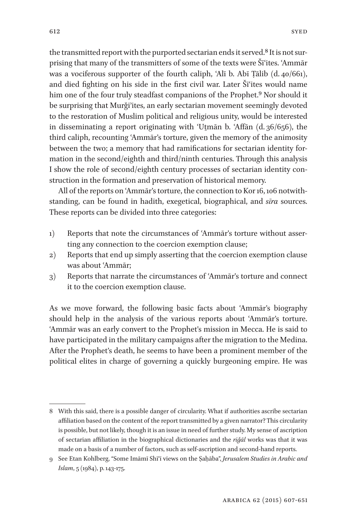the transmitted report with the purported sectarian ends it served.<sup>8</sup> It is not surprising that many of the transmitters of some of the texts were Šīʿites. ʿAmmār was a vociferous supporter of the fourth caliph, ʿAlī b. Abī Ṭālib (d. 40/661), and died fighting on his side in the first civil war. Later Šīʿites would name him one of the four truly steadfast companions of the Prophet.9 Nor should it be surprising that Murǧiʾites, an early sectarian movement seemingly devoted to the restoration of Muslim political and religious unity, would be interested in disseminating a report originating with 'Utmān b.  $\Delta$ Affān (d. 36/656), the third caliph, recounting ʿAmmār's torture, given the memory of the animosity between the two; a memory that had ramifications for sectarian identity formation in the second/eighth and third/ninth centuries. Through this analysis I show the role of second/eighth century processes of sectarian identity construction in the formation and preservation of historical memory.

All of the reports on ʿAmmār's torture, the connection to Kor 16, 106 notwithstanding, can be found in hadith, exegetical, biographical, and *sīra* sources. These reports can be divided into three categories:

- 1) Reports that note the circumstances of 'Ammār's torture without asserting any connection to the coercion exemption clause;
- 2) Reports that end up simply asserting that the coercion exemption clause was about ʿAmmār;
- 3) Reports that narrate the circumstances of ʿAmmār's torture and connect it to the coercion exemption clause.

As we move forward, the following basic facts about ʿAmmār's biography should help in the analysis of the various reports about ʿAmmār's torture. ʿAmmār was an early convert to the Prophet's mission in Mecca. He is said to have participated in the military campaigns after the migration to the Medina. After the Prophet's death, he seems to have been a prominent member of the political elites in charge of governing a quickly burgeoning empire. He was

<sup>8</sup> With this said, there is a possible danger of circularity. What if authorities ascribe sectarian affiliation based on the content of the report transmitted by a given narrator? This circularity is possible, but not likely, though it is an issue in need of further study. My sense of ascription of sectarian affiliation in the biographical dictionaries and the *riǧāl* works was that it was made on a basis of a number of factors, such as self-ascription and second-hand reports.

<sup>9</sup> See Etan Kohlberg, "Some Imāmī Shīʿī views on the Ṣaḥāba", *Jerusalem Studies in Arabic and Islam*, 5 (1984), p. 143-175.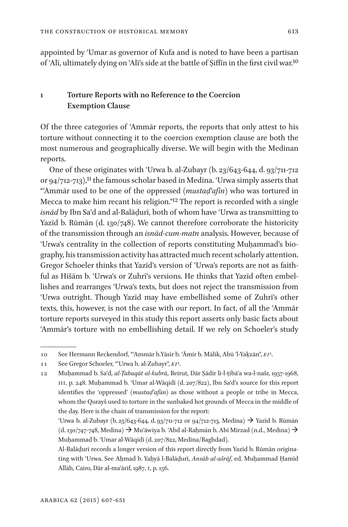appointed by ʿUmar as governor of Kufa and is noted to have been a partisan of ʿAlī, ultimately dying on ʿAlī's side at the battle of Ṣiffīn in the first civil war.10

# **1 Torture Reports with no Reference to the Coercion Exemption Clause**

Of the three categories of ʿAmmār reports, the reports that only attest to his torture without connecting it to the coercion exemption clause are both the most numerous and geographically diverse. We will begin with the Medinan reports.

One of these originates with ʿUrwa b. al-Zubayr (b. 23/643-644, d. 93/711-712 or  $94/712-713$ ,<sup>11</sup> the famous scholar based in Medina. 'Urwa simply asserts that "ʿAmmār used to be one of the oppressed (*mustaḍʿafīn*) who was tortured in Mecca to make him recant his religion."12 The report is recorded with a single *isnād* by Ibn Saʿd and al-Balāḏurī, both of whom have ʿUrwa as transmitting to Yazīd b. Rūmān (d. 130/748). We cannot therefore corroborate the historicity of the transmission through an *isnād-cum-matn* analysis. However, because of ʿUrwa's centrality in the collection of reports constituting Muḥammad's biography, his transmission activity has attracted much recent scholarly attention. Gregor Schoeler thinks that Yazīd's version of ʿUrwa's reports are not as faithful as Hišām b. ʿUrwa's or Zuhrī's versions. He thinks that Yazīd often embellishes and rearranges ʿUrwa's texts, but does not reject the transmission from ʿUrwa outright. Though Yazīd may have embellished some of Zuhrī's other texts, this, however, is not the case with our report. In fact, of all the ʿAmmār torture reports surveyed in this study this report asserts only basic facts about ʿAmmār's torture with no embellishing detail. If we rely on Schoeler's study

<sup>10</sup> See Hermann Reckendorf, "ʿAmmār b.Yāsir b. ʿĀmir b. Mālik, Abū 'l-Yaḳzān", *EI*2.

<sup>11</sup> See Gregor Schoeler, "Urwa b. al-Zubayr",  $EI^2$ .

<sup>12</sup> Muḥammad b. Saʿd, *al-Ṭabaqāt al-kubrā*, Beirut, Dār Ṣādir li-l-ṭibāʿa wa-l-našr, 1957-1968, III, p. 248. Muḥammad b. ʿUmar al-Wāqidī (d. 207/822), Ibn Saʿd's source for this report identifies the 'oppressed' (*mustaḍʿafūn*) as those without a people or tribe in Mecca, whom the Qurayš used to torture in the sunbaked hot grounds of Mecca in the middle of the day. Here is the chain of transmission for the report:

<sup>&#</sup>x27;Urwa b. al-Zubayr (b. 23/643-644, d. 93/711-712 or 94/712-713, Medina) → Yazīd b. Rūmān (d. 130/747-748, Medina)  $\rightarrow$  Muʿāwiya b. ʿAbd al-Raḥmān b. Abī Mirzad (n.d., Medina)  $\rightarrow$ Muḥammad b. ʿUmar al-Wāqidī (d. 207/822, Medina/Baghdad).

Al-Balāḏurī records a longer version of this report directly from Yazīd b. Rūmān originating with ʿUrwa. See Aḥmad b. Yaḥyā l-Balāḏurī, *Ansāb al-ašrāf*, ed. Muḥammad Ḥamīd Allāh, Cairo, Dār al-maʿārif, 1987, I, p. 156.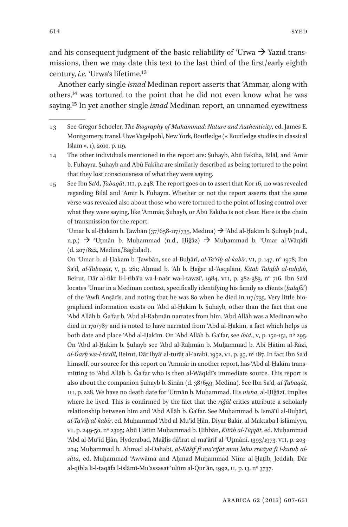and his consequent judgment of the basic reliability of 'Urwa  $\rightarrow$  Yazīd transmissions, then we may date this text to the last third of the first/early eighth century, *i.e.* 'Urwa's lifetime.<sup>13</sup>

Another early single *isnād* Medinan report asserts that ʿAmmār, along with others,14 was tortured to the point that he did not even know what he was saying.15 In yet another single *isnād* Medinan report, an unnamed eyewitness

- 13 See Gregor Schoeler, *The Biography of Muhammad: Nature and Authenticity*, ed. James E. Montgomery, transl. Uwe Vagelpohl, New York, Routledge (« Routledge studies in classical Islam », 1), 2010, p. 119.
- 14 The other individuals mentioned in the report are: Ṣuhayb, Abū Fakīha, Bilāl, and ʿĀmir b. Fuhayra. Ṣuhayb and Abū Fakīha are similarly described as being tortured to the point that they lost consciousness of what they were saying.
- 15 See Ibn Saʿd, *Ṭabaqāt*, III, p. 248. The report goes on to assert that Kor 16, 110 was revealed regarding Bilāl and ʿĀmir b. Fuhayra. Whether or not the report asserts that the same verse was revealed also about those who were tortured to the point of losing control over what they were saying, like ʿAmmār, Ṣuhayb, or Abū Fakīha is not clear. Here is the chain of transmission for the report:

'Umar b. al-Ḥakam b. Ṭawbān (37/658-117/735, Medina)  $\rightarrow$  'Abd al-Ḥakīm b. Ṣuhayb (n.d., n.p.) → 'Uṯmān b. Muḥammad (n.d., Ḥiǧāz) → Muḥammad b. 'Umar al-Wāqidī (d. 207/822, Medina/Baghdad).

 On ʿUmar b. al-Ḥakam b. Ṯawbān, see al-Buḫārī, *al-Taʾrīḫ al-kabīr*, VI, p. 147, no 1978; Ibn Saʿd, *al-Ṭabaqāt*, V, p. 281; Aḥmad b. ʿAlī b. Ḥaǧar al-ʿAsqalānī, *Kitāb Tahḏīb al-tahḏīb*, Beirut, Dār al-fikr li-l-tibāʿa wa-l-našr wa-l-tawzīʿ, 1984, VII, p. 382-383, nº 716. Ibn Saʿd locates ʿUmar in a Medinan context, specifically identifying his family as clients (*ḥulafāʾ*) of the ʿAwfī Anṣārīs, and noting that he was 80 when he died in 117/735. Very little biographical information exists on ʿAbd al-Ḥakīm b. Ṣuhayb, other than the fact that one ʿAbd Allāh b. Ǧaʿfar b. ʿAbd al-Raḥmān narrates from him. ʿAbd Allāh was a Medinan who died in 170/787 and is noted to have narrated from ʿAbd al-Ḥakīm, a fact which helps us both date and place 'Abd al-Ḥakīm. On 'Abd Allāh b. Ğa'far, see *ibid.*, v, p. 150-151, nº 295. On ʿAbd al-Ḥakīm b. Ṣuhayb see ʿAbd al-Raḥmān b. Muḥammad b. Abī Ḥātim al-Rāzī, *al-Ǧarḥ wa-l-taʿdīl*, Beirut, Dār iḥyāʾ al-turāṯ al-ʿarabī, 1952, VI, p. 35, no 187. In fact Ibn Saʿd himself, our source for this report on ʿAmmār in another report, has ʿAbd al-Ḥakīm transmitting to ʿAbd Allāh b. Ǧaʿfar who is then al-Wāqidī's immediate source. This report is also about the companion Ṣuhayb b. Sinān (d. 38/659, Medina). See Ibn Saʿd, *al-Ṭabaqāt*, III, p. 228. We have no death date for ʿUṯmān b. Muḥammad. His *nisba*, al-Ḥiǧāzī, implies where he lived. This is confirmed by the fact that the *riğāl* critics attribute a scholarly relationship between him and ʿAbd Allāh b. Ǧaʿfar. See Muḥammad b. Ismāʿīl al-Buḫārī, *al-Taʾrīḫ al-kabīr*, ed. Muḥammad ʿAbd al-Muʿīd Ḫān, Diyar Bakir, al-Maktaba l-islāmiyya, VI, p. 249-50, no 2305; Abū Ḥātim Muḥammad b. Ḥibbān, *Kitāb al-Ṯiqqāt*, ed. Muḥammad ʿAbd al-Muʿīd Ḫān, Hyderabad, Maǧlis dāʾirat al-maʿārif al-ʿUṯmānī, 1393/1973, VII, p. 203- 204; Muḥammad b. Aḥmad al-Ḏahabī, *al-Kāšif fī maʿrifat man lahu riwāya fī l-kutub alsitta*, ed. Muḥammad ʿAwwāma and Aḥmad Muḥammad Nimr al-Ḫaṭīb, Jeddah, Dār al-qibla li-l-taqāfa l-islāmī-Mu'assasat 'ulūm al-Qur'ān, 1992, II, p. 13, nº 3737.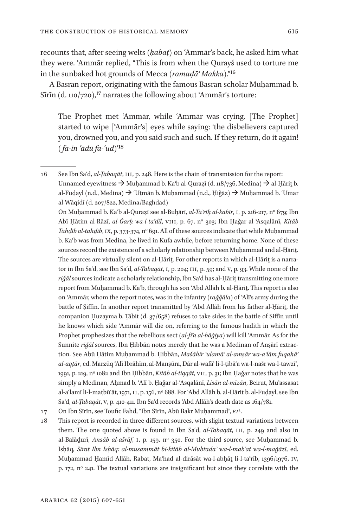recounts that, after seeing welts (*ḥabaṭ*) on ʿAmmār's back, he asked him what they were. ʿAmmār replied, "This is from when the Qurayš used to torture me in the sunbaked hot grounds of Mecca (*ramaḍāʾ Makka*)."16

A Basran report, originating with the famous Basran scholar Muhammad b. Sīrīn (d. 110/720),<sup>17</sup> narrates the following about 'Ammār's torture:

The Prophet met ʿAmmār, while ʿAmmār was crying. [The Prophet] started to wipe [ʿAmmār's] eyes while saying: 'the disbelievers captured you, drowned you, and you said such and such. If they return, do it again! (*fa-in ʿādū fa-ʿud*)'18

16 See Ibn Saʿd, *al-Ṭabaqāt*, III, p. 248. Here is the chain of transmission for the report: Unnamed eyewitness  $\rightarrow$  Muhammad b. Kaʿb al-Qurazī (d. 118/736, Medina)  $\rightarrow$  al-Hārit b. al-Fuḍayl (n.d., Medina) → ʿUṯmān b. Muḥammad (n.d., Ḥiǧāz) → Muḥammad b. ʿUmar al-Wāqidī (d. 207/822, Medina/Baghdad)

 On Muḥammad b. Kaʿb al-Quraẓī see al-Buḫārī, *al-Taʾrīḫ al-kabīr*, I, p. 216-217, no 679; Ibn Abī Ḥātim al-Rāzī, *al-Ǧarḥ wa-l-taʿdīl*, VIII, p. 67, no 303; Ibn Ḥaǧar al-ʿAsqalānī, *Kitāb Tahdīb al-tahdīb*, IX, p. 373-374, nº 691. All of these sources indicate that while Muhammad b. Kaʿb was from Medina, he lived in Kufa awhile, before returning home. None of these sources record the existence of a scholarly relationship between Muḥammad and al-Ḥāriṯ. The sources are virtually silent on al-Ḥāriṯ. For other reports in which al-Ḥāriṯ is a narrator in Ibn Saʿd, see Ibn Saʿd, *al-Ṭabaqāt*, I, p. 204; III, p. 59; and V, p. 93. While none of the ri*ǧāl* sources indicate a scholarly relationship, Ibn Saʿd has al-Hārit transmitting one more report from Muḥammad b. Kaʿb, through his son ʿAbd Allāh b. al-Ḥāriṯ. This report is also on ʿAmmār, whom the report notes, was in the infantry (*raǧǧāla*) of ʿAlī's army during the battle of Ṣiffīn. In another report transmitted by ʿAbd Allāh from his father al-Ḥāriṯ, the companion Ḫuzayma b. Ṯābit (d. 37/658) refuses to take sides in the battle of Ṣiffīn until he knows which side ʿAmmār will die on, referring to the famous hadith in which the Prophet prophesizes that the rebellious sect (*al-fīʾa al-bāġiya*) will kill ʿAmmār. As for the Sunnite *riǧāl* sources, Ibn Ḥibbān notes merely that he was a Medinan of Anṣārī extraction. See Abū Ḥātim Muḥammad b. Ḥibbān, *Mašāhīr ʿulamāʾ al-amṣār wa-aʿlām fuqahāʾ al-aqṭār*, ed. Marzūq ʿAlī Ibrāhīm, al-Manṣūra, Dār al-wafāʾ li-l-ṭibāʿa wa-l-našr wa-l-tawzīʿ, 1991, p. 219, no 1082 and Ibn Ḥibbān, *Kitāb al-ṯiqqāt*, VII, p. 31; Ibn Ḥaǧar notes that he was simply a Medinan, Aḥmad b. ʿAlī b. Ḥaǧar al-ʿAsqalānī, *Lisān al-mīzān*, Beirut, Muʾassasat al-aʿlamī li-l-maṭbūʿāt, 1971, II, p. 156, no 688. For ʿAbd Allāh b. al-Ḥāriṯ b. al-Fuḍayl, see Ibn Saʿd, *al-Ṭabaqāt*, V, p. 410-411. Ibn Saʿd records ʿAbd Allāh's death date as 164/781.

17 On Ibn Sīrīn, see Toufic Fahd, "Ibn Sīrīn, Abū Bakr Muḥammad", *EI*2.

18 This report is recorded in three different sources, with slight textual variations between them. The one quoted above is found in Ibn Saʿd, *al-Ṭabaqāt*, III, p. 249 and also in al-Balāḏurī, *Ansāb al-ašrāf*, I, p. 159, no 350. For the third source, see Muḥammad b. Isḥāq, *Sīrat Ibn Isḥāq: al-musammāt bi-kitāb al-Mubtadaʾ wa-l-mabʿaṯ wa-l-maġāzī*, ed. Muḥammad Ḥamīd Allāh, Rabat, Maʿhad al-dirāsāt wa-l-abḥāṯ li-l-taʿrīb, 1396/1976, IV, p. 172,  $n^{\circ}$  241. The textual variations are insignificant but since they correlate with the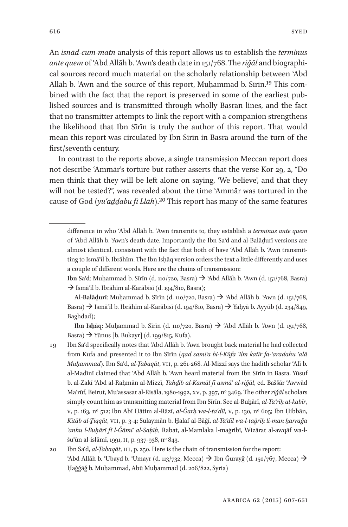An *isnād-cum-matn* analysis of this report allows us to establish the *terminus ante quem* of ʿAbd Allāh b. ʿAwn's death date in 151/768. The *riǧāl* and biographical sources record much material on the scholarly relationship between ʿAbd Allāh b. 'Awn and the source of this report, Muhammad b. Sīrīn.<sup>19</sup> This combined with the fact that the report is preserved in some of the earliest published sources and is transmitted through wholly Basran lines, and the fact that no transmitter attempts to link the report with a companion strengthens the likelihood that Ibn Sīrīn is truly the author of this report. That would mean this report was circulated by Ibn Sīrīn in Basra around the turn of the first/seventh century.

In contrast to the reports above, a single transmission Meccan report does not describe ʿAmmār's torture but rather asserts that the verse Kor 29, 2, "Do men think that they will be left alone on saying, 'We believe', and that they will not be tested?", was revealed about the time 'Ammār was tortured in the cause of God (*yuʿaḏḏabu fī Llāh*).20 This report has many of the same features

**Ibn Sa'd**: Muhammad b. Sīrīn (d. 110/720, Basra)  $\rightarrow$  'Abd Allāh b. 'Awn (d. 151/768, Basra)  $\rightarrow$  Ismāʿīl b. Ibrāhīm al-Karābisī (d. 194/810, Basra);

**Al-Balāḍurī:** Muḥammad b. Sīrīn (d. 110/720, Basra)  $\rightarrow$  ʿAbd Allāh b. ʿAwn (d. 151/768, Basra)  $\rightarrow$  Ismāʿīl b. Ibrāhīm al-Karābisī (d. 194/810, Basra)  $\rightarrow$  Yaḥyā b. Ayyūb (d. 234/849, Baghdad);

**Ibn Ishāq:** Muhammad b. Sīrīn (d. 110/720, Basra)  $\rightarrow$  'Abd Allāh b. 'Awn (d. 151/768, Basra)  $\rightarrow$  Yūnus [b. Bukayr] (d. 199/815, Kufa).

19 Ibn Saʿd specifically notes that ʿAbd Allāh b. ʿAwn brought back material he had collected from Kufa and presented it to Ibn Sīrīn (*qad samiʿa bi-l-Kūfa ʿilm kaṯīr fa-ʿaraḍahu ʿalā Muḥammad*). Ibn Saʿd, *al-Ṭabaqāt*, VII, p. 261-268. Al-Mizzī says the hadith scholar ʿAlī b. al-Madīnī claimed that ʿAbd Allāh b. ʿAwn heard material from Ibn Sīrīn in Basra. Yūsuf b. al-Zakī ʿAbd al-Raḥmān al-Mizzī, *Tahḏīb al-Kamāl fī asmāʾ al-riǧāl*, ed. Baššār ʿAwwād Ma'rūf, Beirut, Mu'assasat al-Risāla, 1980-1992, XV, p. 397, nº 3469. The other *riğāl* scholars simply count him as transmitting material from Ibn Sīrīn. See al-Buḫārī, *al-Taʾrīḫ al-kabīr*, V, p. 163, no 512; Ibn Abī Ḥātim al-Rāzī, *al-Ǧarḥ wa-l-taʿdīl*, V, p. 130, no 605; Ibn Ḥibbān, *Kitāb al-Ṯiqqāt*, VII, p. 3-4; Sulaymān b. Ḫalaf al-Bāǧī, *al-Taʿdīl wa-l-taǧrīḥ li-man ḫarraǧa ʿanhu l-Buḫārī fī l-Ǧāmiʿ al-Ṣaḥīḥ*, Rabat, al-Mamlaka l-maġribī, Wizārat al-awqāf wa-lšuʾūn al-islāmī, 1991, II, p. 937-938, no 843.

difference in who ʿAbd Allāh b. ʿAwn transmits to, they establish a *terminus ante quem* of ʿAbd Allāh b. ʿAwn's death date. Importantly the Ibn Saʿd and al-Balāḏurī versions are almost identical, consistent with the fact that both of have ʿAbd Allāh b. ʿAwn transmitting to Ismāʿīl b. Ibrāhīm. The Ibn Isḥāq version orders the text a little differently and uses a couple of different words. Here are the chains of transmission:

<sup>20</sup> Ibn Saʿd, *al-Ṭabaqāt*, III, p. 250. Here is the chain of transmission for the report: 'Abd Allāh b. 'Ubayd b. 'Umayr (d. 113/732, Mecca)  $\rightarrow$  Ibn Ğurayğ (d. 150/767, Mecca)  $\rightarrow$ Ḥaǧǧāǧ b. Muḥammad, Abū Muḥammad (d. 206/822, Syria)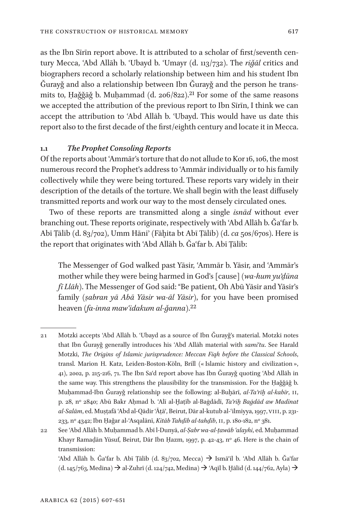as the Ibn Sīrīn report above. It is attributed to a scholar of first/seventh century Mecca, ʿAbd Allāh b. ʿUbayd b. ʿUmayr (d. 113/732). The *riǧāl* critics and biographers record a scholarly relationship between him and his student Ibn Ǧurayǧ and also a relationship between Ibn Ǧurayǧ and the person he transmits to, Haǧǧāǧ b. Muhammad (d. 206/822).<sup>21</sup> For some of the same reasons we accepted the attribution of the previous report to Ibn Sīrīn, I think we can accept the attribution to 'Abd Allāh b. 'Ubayd. This would have us date this report also to the first decade of the first/eighth century and locate it in Mecca.

## **1.1** *The Prophet Consoling Reports*

Of the reports about ʿAmmār's torture that do not allude to Kor 16, 106, the most numerous record the Prophet's address to ʿAmmār individually or to his family collectively while they were being tortured. These reports vary widely in their description of the details of the torture. We shall begin with the least diffusely transmitted reports and work our way to the most densely circulated ones.

Two of these reports are transmitted along a single *isnād* without ever branching out. These reports originate, respectively with ʿAbd Allāh b. Ǧaʿfar b. Abī Ṭālib (d. 83/702), Umm Hāniʾ (Fāḫita bt Abī Ṭālib) (d. *ca* 50s/670s). Here is the report that originates with ʿAbd Allāh b. Ǧaʿfar b. Abī Ṭālib:

The Messenger of God walked past Yāsir, ʿAmmār b. Yāsir, and ʿAmmār's mother while they were being harmed in God's [cause] (*wa-hum yuʾḏūna fī Llāh*). The Messenger of God said: "Be patient, Oh Abū Yāsir and Yāsir's family (*ṣabran yā Abā Yāsir wa-āl Yāsir*), for you have been promised heaven (*fa-inna mawʿidakum al-ǧanna*).22

<sup>21</sup> Motzki accepts ʿAbd Allāh b. ʿUbayd as a source of Ibn Ǧurayǧ's material. Motzki notes that Ibn Ǧurayǧ generally introduces his ʿAbd Allāh material with *samiʿtu*. See Harald Motzki, *The Origins of Islamic jurisprudence: Meccan Fiqh before the Classical Schools*, transl. Marion H. Katz, Leiden-Boston-Köln, Brill (« Islamic history and civilization », 41), 2002, p. 215-216, 71. The Ibn Saʿd report above has Ibn Ǧurayǧ quoting ʿAbd Allāh in the same way. This strengthens the plausibility for the transmission. For the Haǧǧāǧ b. Muḥammad-Ibn Ǧurayǧ relationship see the following: al-Buḫārī, *al-Taʾrīḫ al-kabīr*, II, p. 28, no 2840; Abū Bakr Aḥmad b. ʿAlī al-Ḫaṭīb al-Baġdādī, *Taʾrīḫ Baġdād aw Madīnat al-Salām*, ed. Muṣṭafā ʿAbd al-Qādir ʿĀṭāʾ, Beirut, Dār al-kutub al-ʿilmiyya, 1997, VIII, p. 231- 233, no 4342; Ibn Ḥaǧar al-ʿAsqalānī, *Kitāb Tahḏīb al-tahḏīb*, II, p. 180-182, no 381.

<sup>22</sup> See ʿAbd Allāh b. Muḥammad b. Abī l-Dunyā, *al-Ṣabr wa-al-ṯawāb ʿalayhi*, ed. Muḥammad Khayr Ramaḍān Yūsuf, Beirut, Dār Ibn Ḥazm, 1997, p. 42-43, nº 46. Here is the chain of transmission:

<sup>&#</sup>x27;Abd Allāh b. Ğa'far b. Abī Țālib (d. 83/702, Mecca)  $\rightarrow$  Ismāʿīl b. ʿAbd Allāh b. Ğa'far  $(d. 145/763, Medina) \rightarrow al-Zuhrī (d. 124/742, Medina) \rightarrow 'Aqīl b. Hālid (d. 144/762, Ayla) \rightarrow$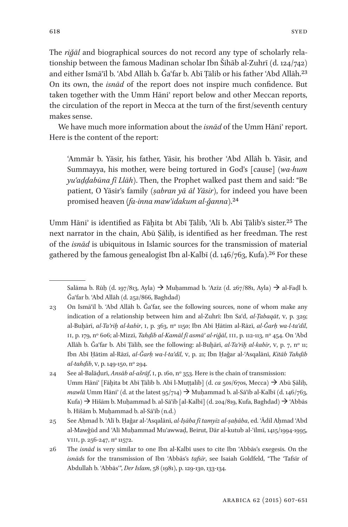The *riǧāl* and biographical sources do not record any type of scholarly relationship between the famous Madinan scholar Ibn Šihāb al-Zuhrī (d. 124/742) and either Ismāʿīl b. ʿAbd Allāh b. Ǧaʿfar b. Abī Ṭālib or his father ʿAbd Allāh.23 On its own, the *isnād* of the report does not inspire much confidence. But taken together with the Umm Hāniʾ report below and other Meccan reports, the circulation of the report in Mecca at the turn of the first/seventh century makes sense.

We have much more information about the *isnād* of the Umm Hāniʾ report. Here is the content of the report:

ʿAmmār b. Yāsir, his father, Yāsir, his brother ʿAbd Allāh b. Yāsir, and Summayya, his mother, were being tortured in God's [cause] (*wa-hum yuʿaḏḏabūna fī Llāh*). Then, the Prophet walked past them and said: "Be patient, O Yāsir's family (*ṣabran yā āl Yāsir*), for indeed you have been promised heaven (*fa-inna mawʿidakum al-ǧanna*).24

Umm Hāniʾ is identified as Fāḫita bt Abī Ṭālib, ʿAlī b. Abī Ṭālib's sister.25 The next narrator in the chain, Abū Ṣāliḥ, is identified as her freedman. The rest of the *isnād* is ubiquitous in Islamic sources for the transmission of material gathered by the famous genealogist Ibn al-Kalbī (d. 146/763, Kufa).26 For these

Salāma b. Rūḥ (d. 197/813, Ayla)  $\rightarrow$  Muḥammad b. ʿAzīz (d. 267/881, Ayla)  $\rightarrow$  al-Faḍl b. Ǧaʿfar b. ʿAbd Allāh (d. 252/866, Baghdad)

<sup>23</sup> On Ismāʿīl b. ʿAbd Allāh b. Ǧaʿfar, see the following sources, none of whom make any indication of a relationship between him and al-Zuhrī: Ibn Saʿd, *al-Ṭabaqāt*, V, p. 329; al-Buḫārī, *al-Taʾrīḫ al-kabīr*, I, p. 363, no 1150; Ibn Abī Ḥātim al-Rāzī, *al-Ǧarḥ wa-l-taʿdīl*, II, p. 179, nº 606; al-Mizzī, *Tahḍīb al-Kamāl fī asmā<sup>,</sup> al-riǧāl*, III, p. 112-113, nº 454. On ʿAbd Allāh b. Ǧaʿfar b. Abī Ṭālib, see the following: al-Buḫārī, *al-Taʾrīḫ al-kabīr*, V, p. 7, no 11; Ibn Abī Ḥātim al-Rāzī, *al-Ǧarḥ wa-l-taʿdīl*, V, p. 21; Ibn Ḥaǧar al-ʿAsqalānī, *Kitāb Tahḏīb al-tahdīb*, *v*, *p.* 149-150, nº 294.

<sup>24</sup> See al-Balāḏurī, *Ansāb al-ašrāf*, I, p. 160, no 353. Here is the chain of transmission: Umm Hāniʾ [Fāḫita bt Abī Ṭālib b. Abī l-Muṭṭalib] (d. *ca* 50s/670s, Mecca) à Abū Ṣāliḥ, *mawlā* Umm Hāni' (d. at the latest  $95/714$ )  $\rightarrow$  Muḥammad b. al-Sā'ib al-Kalbī (d. 146/763, Kufa)  $\rightarrow$  Hišām b. Muḥammad b. al-Sā'ib [al-Kalbī] (d. 204/819, Kufa, Baghdad)  $\rightarrow$  ʿAbbās b. Hišām b. Muḥammad b. al-Sāʾib (n.d.)

<sup>25</sup> See Aḥmad b. ʿAlī b. Ḥaǧar al-ʿAsqalānī, *al-Iṣāba fī tamyīz al-ṣaḥāba*, ed. ʿĀdil Aḥmad ʿAbd al-Mawǧūd and ʿAlī Muḥammad Muʿawwaḍ, Beirut, Dār al-kutub al-ʿilmī, 1415/1994-1995, VIII, p. 256-247, no 11572.

<sup>26</sup> The *isnād* is very similar to one Ibn al-Kalbī uses to cite Ibn ʿAbbās's exegesis. On the *isnād*s for the transmission of Ibn ʿAbbās's *tafsīr*, see Isaiah Goldfeld, "The 'Tafsīr of Abdullah b. ʿAbbās' ", *Der Islam*, 58 (1981), p. 129-130, 133-134.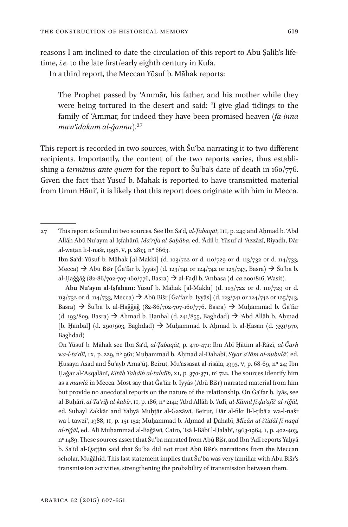reasons I am inclined to date the circulation of this report to Abū Sālih's lifetime, *i.e.* to the late first/early eighth century in Kufa.

In a third report, the Meccan Yūsuf b. Māhak reports:

The Prophet passed by ʿAmmār, his father, and his mother while they were being tortured in the desert and said: "I give glad tidings to the family of ʿAmmār, for indeed they have been promised heaven (*fa-inna mawʿidakum al-ǧanna*).27

This report is recorded in two sources, with Šuʿba narrating it to two different recipients. Importantly, the content of the two reports varies, thus establishing a *terminus ante quem* for the report to Šuʿba's date of death in 160/776. Given the fact that Yūsuf b. Māhak is reported to have transmitted material from Umm Hāni', it is likely that this report does originate with him in Mecca.

 **Abū Nuʿaym al-Iṣfahānī**: Yūsuf b. Māhak [al-Makkī] (d. 103/722 or d. 110/729 or d.  $113/732$  or d.  $114/733$ , Mecca)  $\rightarrow$  Abū Bišr [Ğaʿfar b. Iyyās] (d. 123/741 or 124/742 or 125/743, Basra)  $\rightarrow$  Šuʿba b. al-Ḥaǧǧāǧ (82-86/702-707-160/776, Basra)  $\rightarrow$  Muḥammad b. Ğaʿfar (d. 193/809, Basra)  $\rightarrow$  Aḥmad b. Ḥanbal (d. 241/855, Baghdad)  $\rightarrow$  ʿAbd Allāh b. Aḥmad [b. Ḥanbal] (d. 290/903, Baghdad)  $\rightarrow$  Muḥammad b. Aḥmad b. al-Ḥasan (d. 359/970, Baghdad)

 On Yūsuf b. Māhak see Ibn Saʿd, *al-Ṭabaqāt*, p. 470-471; Ibn Abī Ḥātim al-Rāzī, *al-Ǧarḥ wa-l-taʿdīl*, IX, p. 229, no 961; Muḥammad b. Aḥmad al-Ḏahabī, *Siyar aʿlām al-nubulāʾ*, ed. Ḥusayn Asad and Šuʿayb Arnaʾūṭ, Beirut, Muʾassasat al-risāla, 1993, V, p. 68-69, no 24; Ibn Hağar al-ʿAsqalānī, *Kitāb Tahḍīb al-tahḍīb*, XI, p. 370-371, nº 722. The sources identify him as a *mawlā* in Mecca. Most say that Ǧaʿfar b. Iyyās (Abū Bišr) narrated material from him but provide no anecdotal reports on the nature of the relationship. On Ǧaʿfar b. Iyās, see al-Buḫārī, *al-Taʾrīḫ al-kabīr*, II, p. 186, no 2141; ʿAbd Allāh b. ʿAdī, *al-Kāmil fī ḍuʿafāʾ al-riǧāl*, ed. Suhayl Zakkār and Yaḥyā Muḫṭār al-Ġazāwī, Beirut, Dār al-fikr li-l-ṭibāʿa wa-l-našr wa-l-tawzīʿ, 1988, II, p. 151-152; Muḥammad b. Aḥmad al-Ḏahabī, *Mīzān al-iʻtidāl fī naqd al-riǧāl*, ed. ʿAlī Muḥammad al-Baǧāwī, Cairo, ʿĪsā l-Bābī l-Ḥalabī, 1963-1964, I, p. 402-403, n<sup>o</sup> 1489. These sources assert that Šuʿba narrated from Abū Bišr, and Ibn ʿAdī reports Yaḥyā b. Saʿīd al-Qaṭṭān said that Šuʿba did not trust Abū Bišr's narrations from the Meccan scholar, Muǧāhid. This last statement implies that Šuʿba was very familiar with Abu Bišr's transmission activities, strengthening the probability of transmission between them.

<sup>27</sup> This report is found in two sources. See Ibn Saʿd, *al-Ṭabaqāt*, III, p. 249 and Aḥmad b. ʿAbd Allāh Abū Nuʿaym al-Iṣfahānī, *Maʿrifa al-Ṣaḥāba*, ed. ʿĀdil b. Yūsuf al-ʿAzzāzī, Riyadh, Dār al-waṭan li-l-našr, 1998, V, p. 2813, nº 6663.

**Ibn Saʿd**: Yūsuf b. Māhak [al-Makkī] (d. 103/722 or d. 110/729 or d. 113/732 or d. 114/733, Mecca)  $\rightarrow$  Abū Bišr [Ğaʿfar b. Iyyās] (d. 123/741 or 124/742 or 125/743, Basra)  $\rightarrow$  Šuʿba b. al-Haǧǧāǧ (82-86/702-707-160/776, Basra) → al-Fadl b. ʿAnbasa (d. *ca* 200/816, Wasit).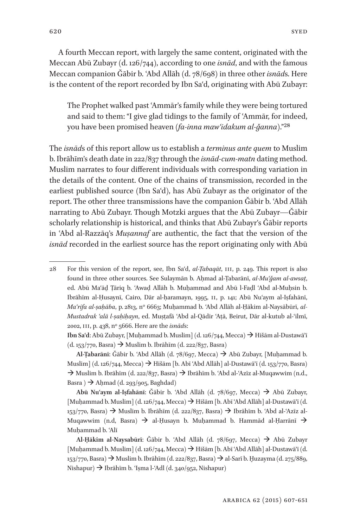A fourth Meccan report, with largely the same content, originated with the Meccan Abū Zubayr (d. 126/744), according to one *isnād*, and with the famous Meccan companion Ǧābir b. ʿAbd Allāh (d. 78/698) in three other *isnād*s. Here is the content of the report recorded by Ibn Saʿd, originating with Abū Zubayr:

The Prophet walked past ʿAmmār's family while they were being tortured and said to them: "I give glad tidings to the family of ʿAmmār, for indeed, you have been promised heaven (*fa-inna mawʿidakum al-ǧanna*)."28

The *isnād*s of this report allow us to establish a *terminus ante quem* to Muslim b. Ibrāhīm's death date in 222/837 through the *isnād-cum-matn* dating method. Muslim narrates to four different individuals with corresponding variation in the details of the content. One of the chains of transmission, recorded in the earliest published source (Ibn Saʿd), has Abū Zubayr as the originator of the report. The other three transmissions have the companion Ǧābir b. ʿAbd Allāh narrating to Abū Zubayr. Though Motzki argues that the Abū Zubayr—Ǧābir scholarly relationship is historical, and thinks that Abū Zubayr's Ǧābir reports in ʿAbd al-Razzāq's *Muṣannaf* are authentic, the fact that the version of the *isnād* recorded in the earliest source has the report originating only with Abū

**Ibn Saʿd**: Abū Zubayr, [Muḥammad b. Muslim] (d. 126/744, Mecca) à Hišām al-Dustawāʾī  $(d. 153/770, Basra) \rightarrow Muslim b. Ibrāhīm (d. 222/837, Basra)$ 

**Al-Ṭabarānī**: Ǧābir b. ʿAbd Allāh (d. 78/697, Mecca) à Abū Zubayr, [Muḥammad b. Muslim] (d. 126/744, Mecca)  $\rightarrow$  Hišām [b. Abī ʿAbd Allāh] al-Dustawā'ī (d. 153/770, Basra)  $\rightarrow$  Muslim b. Ibrāhīm (d. 222/837, Basra)  $\rightarrow$  Ibrāhīm b. `Abd al-`Azīz al-Muqawwim (n.d., Basra )  $\rightarrow$  Aḥmad (d. 293/905, Baghdad)

**Abū Nuʿaym al-Iṣfahānī**: Ǧābir b. ʿAbd Allāh (d. 78/697, Mecca) à Abū Zubayr, [Muḥammad b. Muslim] (d. 126/744, Mecca)  $\rightarrow$  Hišām [b. Abī ʿAbd Allāh] al-Dustawāʾī (d.  $153/770$ , Basra)  $\rightarrow$  Muslim b. Ibrāhīm (d. 222/837, Basra)  $\rightarrow$  Ibrāhīm b. `Abd al-`Azīz al-Muqawwim (n.d, Basra)  $\rightarrow$  al-Ḥusayn b. Muḥammad b. Hammād al-Ḥarrānī  $\rightarrow$ Muhammad b. 'Alī

**Al-Ḥākim al-Naysabūrī**: Ǧābir b. ʿAbd Allāh (d. 78/697, Mecca) à Abū Zubayr [Muḥammad b. Muslim] (d. 126/744, Mecca)  $\rightarrow$  Hišām [b. Abī ʿAbd Allāh] al-Dustawāʾī (d.  $153/770$ , Basra)  $\rightarrow$  Muslim b. Ibrāhīm (d. 222/837, Basra)  $\rightarrow$  al-Sarī b. Ḥuzayma (d. 275/889, Nishapur)  $\rightarrow$  Ibrāhīm b. 'Iṣma l-'Adl (d. 340/952, Nishapur)

<sup>28</sup> For this version of the report, see, Ibn Saʿd, *al-Ṭabaqāt*, III, p. 249. This report is also found in three other sources. See Sulaymān b. Aḥmad al-Ṭabarānī, *al-Muʿǧam al-awsaṭ*, ed. Abū Maʿāḏ Ṭāriq b. ʿAwaḍ Allāh b. Muḥammad and Abū l-Faḍl ʿAbd al-Muḥsin b. Ibrāhīm al-Ḥusaynī, Cairo, Dār al-ḥaramayn, 1995, II, p. 141; Abū Nuʿaym al-Iṣfahānī, *Maʿrifa al-ṣaḥāba*, p. 2813, no 6663; Muḥammad b. ʿAbd Allāh al-Ḥākim al-Naysābūrī, *al-Mustadrak ʿalā l-ṣaḥiḥayn*, ed. Muṣṭafā ʿAbd al-Qādir ʿAṭā, Beirut, Dār al-kutub al-ʿilmī, 2002, III, p. 438, no 5666. Here are the *isnād*s: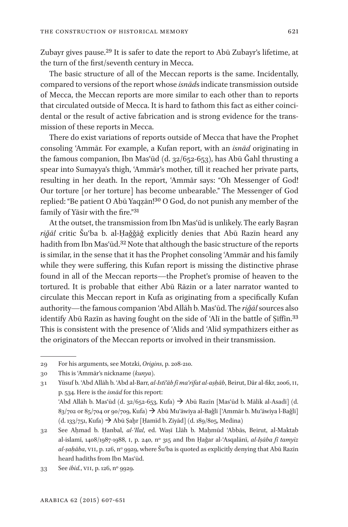Zubayr gives pause.29 It is safer to date the report to Abū Zubayr's lifetime, at the turn of the first/seventh century in Mecca.

The basic structure of all of the Meccan reports is the same. Incidentally, compared to versions of the report whose *isnād*s indicate transmission outside of Mecca, the Meccan reports are more similar to each other than to reports that circulated outside of Mecca. It is hard to fathom this fact as either coincidental or the result of active fabrication and is strong evidence for the transmission of these reports in Mecca.

There do exist variations of reports outside of Mecca that have the Prophet consoling ʿAmmār. For example, a Kufan report, with an *isnād* originating in the famous companion, Ibn Mas'ūd (d.  $32/652-653$ ), has Abū Ğahl thrusting a spear into Sumayya's thigh, 'Ammār's mother, till it reached her private parts, resulting in her death. In the report, 'Ammār says: "Oh Messenger of God! Our torture [or her torture] has become unbearable." The Messenger of God replied: "Be patient O Abū Yaqẓān!30 O God, do not punish any member of the family of Yāsir with the fire."31

At the outset, the transmission from Ibn Masʿūd is unlikely. The early Baṣran *riǧāl* critic Šuʿba b. al-Ḥaǧǧāǧ explicitly denies that Abū Razīn heard any hadith from Ibn Mas'ūd.<sup>32</sup> Note that although the basic structure of the reports is similar, in the sense that it has the Prophet consoling ʿAmmār and his family while they were suffering, this Kufan report is missing the distinctive phrase found in all of the Meccan reports—the Prophet's promise of heaven to the tortured. It is probable that either Abū Rāzin or a later narrator wanted to circulate this Meccan report in Kufa as originating from a specifically Kufan authority—the famous companion ʿAbd Allāh b. Masʿūd. The *riǧāl* sources also identify Abū Razīn as having fought on the side of 'Alī in the battle of Şiffīn.<sup>33</sup> This is consistent with the presence of ʿAlids and ʿAlid sympathizers either as the originators of the Meccan reports or involved in their transmission.

<sup>29</sup> For his arguments, see Motzki, *Origins*, p. 208-210.

<sup>30</sup> This is ʿAmmār's nickname (*kunya*).

<sup>31</sup> Yūsuf b. ʿAbd Allāh b. ʿAbd al-Barr, *al-Istīʿāb fī maʿrifat al-aṣḥāb*, Beirut, Dār al-fikr, 2006, II, p. 534. Here is the *isnād* for this report: 'Abd Allāh b. Mas'ūd (d. 32/652-653, Kufa)  $\rightarrow$  Abū Razīn [Mas'ūd b. Mālik al-Asadī] (d.  $83/702$  or  $85/704$  or 90/709, Kufa)  $\rightarrow$  Abū Mu'āwiya al-Baǧlī ['Ammār b. Mu'āwiya l-Baǧlī]  $(d. 133/751, Kufa) \rightarrow Ab\bar{u}$  Șaḥr [Ḥamīd b. Ziyād] (d. 189/805, Medina)

<sup>32</sup> See Aḥmad b. Ḥanbal, *al-ʿIlal*, ed. Waṣī Llāh b. Maḥmūd ʿAbbās, Beirut, al-Maktab al-islamī, 1408/1987-1988, I, p. 240, no 315 and Ibn Ḥaǧar al-ʿAsqalānī, *al-Iṣāba fī tamyīz*  al-șaḥāba, VII, p. 126, nº 9929, where Šuʿba is quoted as explicitly denying that Abū Razīn heard hadiths from Ibn Masʿūd.

<sup>33</sup> See *ibid.*, VII, p. 126, no 9929.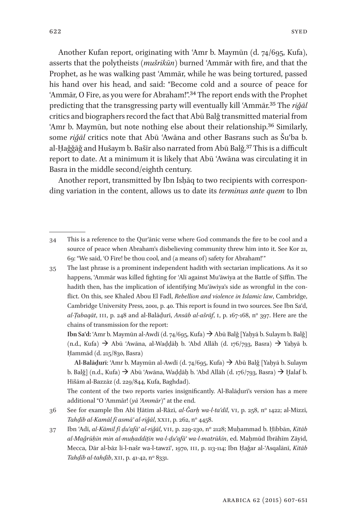Another Kufan report, originating with ʿAmr b. Maymūn (d. 74/695, Kufa), asserts that the polytheists (*mušrikūn*) burned ʿAmmār with fire, and that the Prophet, as he was walking past ʿAmmār, while he was being tortured, passed his hand over his head, and said: "Become cold and a source of peace for ʿAmmār, O Fire, as you were for Abraham!".34 The report ends with the Prophet predicting that the transgressing party will eventually kill ʿAmmār.35 The *riǧāl* critics and biographers record the fact that Abū Balǧ transmitted material from ʿAmr b. Maymūn, but note nothing else about their relationship.36 Similarly, some *riǧāl* critics note that Abū ʿAwāna and other Basrans such as Šuʿba b. al-Ḥaǧǧāǧ and Hušaym b. Bašīr also narrated from Abū Balǧ.37 This is a difficult report to date. At a minimum it is likely that Abū ʿAwāna was circulating it in Basra in the middle second/eighth century.

Another report, transmitted by Ibn Isḥāq to two recipients with corresponding variation in the content, allows us to date its *terminus ante quem* to Ibn

35 The last phrase is a prominent independent hadith with sectarian implications. As it so happens, 'Ammār was killed fighting for 'Alī against Mu'āwiya at the Battle of Şiffīn. The hadith then, has the implication of identifying Muʿāwiya's side as wrongful in the conflict. On this, see Khaled Abou El Fadl, *Rebellion and violence in Islamic law*, Cambridge, Cambridge University Press, 2001, p. 40. This report is found in two sources. See Ibn Saʿd, *al-Ṭabaqāt*, III, p. 248 and al-Balāḏurī, *Ansāb al-ašrāf*, I, p. 167-168, no 397. Here are the chains of transmission for the report:

**Ibn Saʿd:** ʿAmr b. Maymūn al-Awdī (d. 74/695, Kufa) → Abū Balǧ [Yaḥyā b. Sulaym b. Balǧ] (n.d., Kufa)  $\rightarrow$  Abū 'Awāna, al-Waḍḍāḥ b. 'Abd Allāh (d. 176/793, Basra)  $\rightarrow$  Yaḥyā b. Ḥammād (d. 215/830, Basra)

 **Al-Balāḏurī**: ʿAmr b. Maymūn al-Awdī (d. 74/695, Kufa) à Abū Balǧ [Yaḥyā b. Sulaym b. Balǧ] (n.d., Kufa)  $\rightarrow$  Abū ʿAwāna, Waḍḍāḥ b. ʿAbd Allāh (d. 176/793, Basra)  $\rightarrow$  Ḥalaf b. Hišām al-Bazzāz (d. 229/844, Kufa, Baghdad).

 The content of the two reports varies insignificantly. Al-Balāḏurī's version has a mere additional "O ʿAmmār! (*yā ʿAmmār*)" at the end.

- 36 See for example Ibn Abī Ḥātim al-Rāzī, *al-Ǧarḥ wa-l-taʿdīl*, VI, p. 258, no 1422; al-Mizzī, *Tahḏīb al-Kamāl fī asmāʾ al-riǧāl*, XXII, p. 262, no 4458.
- 37 Ibn ʿAdī, *al-Kāmil fī ḍuʿafāʾ al-riǧāl*, VII, p. 229-230, no 2128; Muḥammad b. Ḥibbān, *Kitāb al-Maǧrūḥīn min al-muḥaddiṯīn wa-l-ḍuʿafāʾ wa-l-matrūkīn*, ed. Maḥmūd Ibrāhīm Zāyid, Mecca, Dār al-bāz li-l-našr wa-l-tawzīʿ, 1970, III, p. 113-114; Ibn Ḥaǧar al-ʿAsqalānī, *Kitāb Tahdīb al-tahdīb*, XII, p. 41-42, nº 8331.

<sup>34</sup> This is a reference to the Qurʾānic verse where God commands the fire to be cool and a source of peace when Abraham's disbelieving community threw him into it. See Kor 21, 69: "We said, 'O Fire! be thou cool, and (a means of) safety for Abraham!' "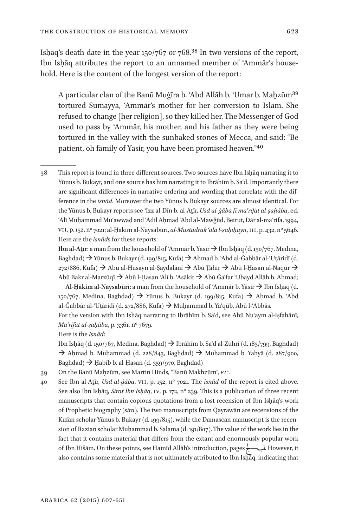Isḥāq's death date in the year 150/767 or 768.38 In two versions of the report, Ibn Isḥāq attributes the report to an unnamed member of ʿAmmār's household. Here is the content of the longest version of the report:

A particular clan of the Banū Muġīra b. ʿAbd Allāh b. ʿUmar b. Maḫzūm39 tortured Sumayya, ʿAmmār's mother for her conversion to Islam. She refused to change [her religion], so they killed her. The Messenger of God used to pass by ʿAmmār, his mother, and his father as they were being tortured in the valley with the sunbaked stones of Mecca, and said: "Be patient, oh family of Yāsir, you have been promised heaven."40

38 This report is found in three different sources. Two sources have Ibn Isḥāq narrating it to Yūnus b. Bukayr, and one source has him narrating it to Ibrāhim b. Saʿd. Importantly there are significant differences in narrative ordering and wording that correlate with the difference in the *isnād*. Moreover the two Yūnus b. Bukayr sources are almost identical. For the Yūnus b. Bukayr reports see ʿIzz al-Dīn b. al-Aṯīr, *Usd al-ġāba fī maʿrifat al-ṣaḥāba*, ed. ʿAlī Muḥammad Muʿawwaḍ and ʿĀdil Aḥmad ʿAbd al-Mawǧūd, Beirut, Dār al-maʿrifa, 1994, VII, p. 152, no 7021; al-Ḥākim al-Naysābūrī, *al-Mustadrak ʿalā l-ṣaḥiḥayn*, III, p. 432, no 5646. Here are the *isnād*s for these reports:

**Ibn al-Atīr:** a man from the household of 'Ammār b. Yāsir  $\rightarrow$  Ibn Isḥāq (d. 150/767, Medina, Baghdad)  $\rightarrow$  Yūnus b. Bukayr (d. 199/815, Kufa)  $\rightarrow$  Aḥmad b. ʿAbd al-Ğabbār al-ʿUṭāridī (d.  $272/886$ , Kufa)  $\rightarrow$  Abū al-Ḥusayn al-Ṣaydalānī  $\rightarrow$  Abū Ṭāhir  $\rightarrow$  Abū l-Ḥasan al-Naqūr  $\rightarrow$ Abū Bakr al-Marzūqī → Abū l-Hasan ʿAlī b. ʿAsākir → Abū Ğaʿfar ʿUbayd Allāh b. Ahmad;

**Al-Hākim al-Naysabūrī**: a man from the household of 'Ammār b. Yāsir  $\rightarrow$  Ibn Ishāq (d.  $150/767$ , Medina, Baghdad)  $\rightarrow$  Yūnus b. Bukayr (d. 199/815, Kufa)  $\rightarrow$  Aḥmad b. ʿAbd al-Ğabbār al-ʿUtāridī (d. 272/886, Kufa)  $\rightarrow$  Muhammad b. Yaʿqūb, Abū l-ʿAbbās.

 For the version with Ibn Isḥāq narrating to Ibrāhīm b. Saʿd, see Abū Nuʿaym al-Iṣfahānī, *Maʿrifat al-ṣaḥāba*, p. 3361, no 7679.

Here is the *isnād*:

Ibn Isḥāq (d. 150/767, Medina, Baghdad)  $\rightarrow$  Ibrāhīm b. Saʿd al-Zuhrī (d. 183/799, Baghdad)  $\rightarrow$  Ahmad b. Muhammad (d. 228/843, Baghdad)  $\rightarrow$  Muhammad b. Yahyā (d. 287/900, Baghdad)  $\rightarrow$  Ḥabīb b. al-Ḥasan (d. 359/970, Baghdad)

39 On the Banū Maḫzūm, see Martin Hinds, "Banū Makhzūm", *EI*2.

40 See Ibn al-Aṯīr, *Usd al-ġāba*, VII, p. 152, no 7021. The *isnād* of the report is cited above. See also Ibn Isḥāq, *Sīrat Ibn Isḥāq*, IV, p. 172, nº 239. This is a publication of three recent manuscripts that contain copious quotations from a lost recension of Ibn Isḥāq's work of Prophetic biography (*sīra*). The two manuscripts from Qayrawān are recensions of the Kufan scholar Yūnus b. Bukayr (d. 199/815), while the Damascan manuscript is the recension of Razian scholar Muhammad b. Salama (d. 191/807). The value of the work lies in the fact that it contains material that differs from the extant and enormously popular work of Ibn Hišām. On these points, see Ḥamīd Allāh's introduction, pages جل—لب. However, it also contains some material that is not ultimately attributed to Ibn Isḥāq, indicating that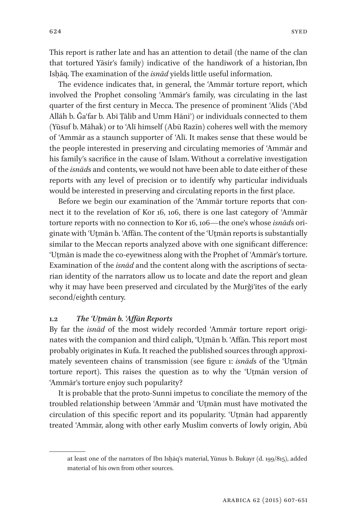This report is rather late and has an attention to detail (the name of the clan that tortured Yāsir's family) indicative of the handiwork of a historian, Ibn Isḥāq. The examination of the *isnād* yields little useful information.

The evidence indicates that, in general, the ʿAmmār torture report, which involved the Prophet consoling ʿAmmār's family, was circulating in the last quarter of the first century in Mecca. The presence of prominent ʿAlids (ʿAbd Allāh b. Ǧaʿfar b. Abī Ṭālib and Umm Hāniʾ) or individuals connected to them (Yūsuf b. Māhak) or to ʿAlī himself (Abū Razīn) coheres well with the memory of ʿAmmār as a staunch supporter of ʿAlī. It makes sense that these would be the people interested in preserving and circulating memories of ʿAmmār and his family's sacrifice in the cause of Islam. Without a correlative investigation of the *isnād*s and contents, we would not have been able to date either of these reports with any level of precision or to identify why particular individuals would be interested in preserving and circulating reports in the first place.

Before we begin our examination of the ʿAmmār torture reports that connect it to the revelation of Kor 16, 106, there is one last category of ʿAmmār torture reports with no connection to Kor 16, 106—the one's whose *isnād*s originate with ʿUṯmān b. ʿAffān. The content of the ʿUṯmān reports is substantially similar to the Meccan reports analyzed above with one significant difference: ʿUṯmān is made the co-eyewitness along with the Prophet of ʿAmmār's torture. Examination of the *isnād* and the content along with the ascriptions of sectarian identity of the narrators allow us to locate and date the report and glean why it may have been preserved and circulated by the Murǧi'ites of the early second/eighth century.

#### **1.2** *The ʿUṯmān b. ʿAffān Reports*

By far the *isnād* of the most widely recorded ʿAmmār torture report originates with the companion and third caliph, ʿUṯmān b. ʿAffān. This report most probably originates in Kufa. It reached the published sources through approximately seventeen chains of transmission (see figure 1: *isnād*s of the ʿUṯmān torture report). This raises the question as to why the ʿUṯmān version of ʿAmmār's torture enjoy such popularity?

It is probable that the proto-Sunni impetus to conciliate the memory of the troubled relationship between ʿAmmār and ʿUṯmān must have motivated the circulation of this specific report and its popularity. ʿUṯmān had apparently treated ʿAmmār, along with other early Muslim converts of lowly origin, Abū

at least one of the narrators of Ibn Isḥāq's material, Yūnus b. Bukayr (d. 199/815), added material of his own from other sources.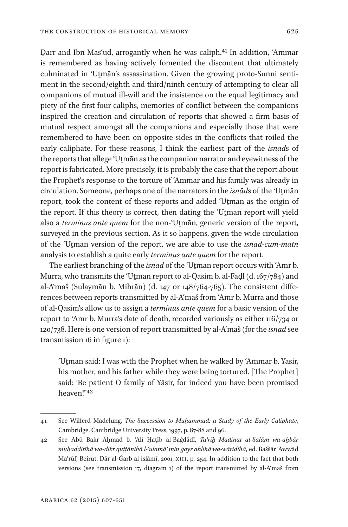Darr and Ibn Mas'ūd, arrogantly when he was caliph.<sup>41</sup> In addition, 'Ammār is remembered as having actively fomented the discontent that ultimately culminated in ʿUṯmān's assassination. Given the growing proto-Sunni sentiment in the second/eighth and third/ninth century of attempting to clear all companions of mutual ill-will and the insistence on the equal legitimacy and piety of the first four caliphs, memories of conflict between the companions inspired the creation and circulation of reports that showed a firm basis of mutual respect amongst all the companions and especially those that were remembered to have been on opposite sides in the conflicts that roiled the early caliphate. For these reasons, I think the earliest part of the *isnād*s of the reports that allege ʿUṯmān as the companion narrator and eyewitness of the report is fabricated. More precisely, it is probably the case that the report about the Prophet's response to the torture of ʿAmmār and his family was already in circulation. Someone, perhaps one of the narrators in the *isnād*s of the ʿUṯmān report, took the content of these reports and added 'Utmān as the origin of the report. If this theory is correct, then dating the 'Utmān report will yield also a *terminus ante quem* for the non-*'Utmān*, generic version of the report, surveyed in the previous section. As it so happens, given the wide circulation of the ʿUṯmān version of the report, we are able to use the *isnād-cum-matn* analysis to establish a quite early *terminus ante quem* for the report.

The earliest branching of the *isnād* of the ʿUṯmān report occurs with ʿAmr b. Murra, who transmits the 'Utmān report to al-Qāsim b. al-Faḍl (d. 167/784) and al-Aʿmaš (Sulaymān b. Mihrān) (d. 147 or 148/764-765). The consistent differences between reports transmitted by al-Aʿmaš from ʿAmr b. Murra and those of al-Qāsim's allow us to assign a *terminus ante quem* for a basic version of the report to 'Amr b. Murra's date of death, recorded variously as either 116/734 or 120/738. Here is one version of report transmitted by al-Aʿmaš (for the *isnād* see transmission 16 in figure 1):

ʿUṯmān said: I was with the Prophet when he walked by ʿAmmār b. Yāsir, his mother, and his father while they were being tortured. [The Prophet] said: 'Be patient O family of Yāsir, for indeed you have been promised heaven!"42

<sup>41</sup> See Wilferd Madelung, *The Succession to Muḥammad: a Study of the Early Caliphate*, Cambridge, Cambridge University Press, 1997, p. 87-88 and 96.

<sup>42</sup> See Abū Bakr Aḥmad b. ʿAlī Ḫaṭīb al-Baġdādī, *Taʾrīḫ Madīnat al-Salām wa-aḫbār muḥaddiṯīhā wa-ḏikr quṭṭānihā l-ʿulamāʾ min ġayr ahlihā wa-wāridīhā*, ed. Baššār ʿAwwād Maʿrūf, Beirut, Dār al-Ġarb al-islāmī, 2001, XIII, p. 254. In addition to the fact that both versions (see transmission 17, diagram 1) of the report transmitted by al-Aʿmaš from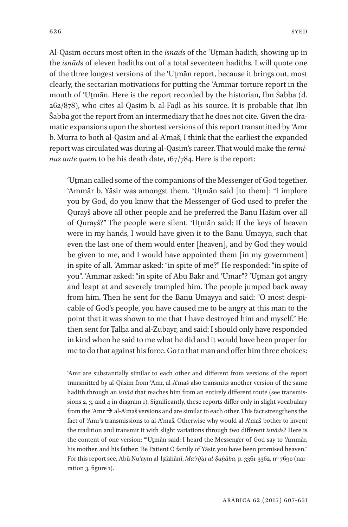Al-Qāsim occurs most often in the *isnād*s of the ʿUṯmān hadith, showing up in the *isnād*s of eleven hadiths out of a total seventeen hadiths. I will quote one of the three longest versions of the ʿUṯmān report, because it brings out, most clearly, the sectarian motivations for putting the ʿAmmār torture report in the mouth of ʿUṯmān. Here is the report recorded by the historian, Ibn Šabba (d. 262/878), who cites al-Qāsim b. al-Faḍl as his source. It is probable that Ibn Šabba got the report from an intermediary that he does not cite. Given the dramatic expansions upon the shortest versions of this report transmitted by ʿAmr b. Murra to both al-Qāsim and al-Aʿmaš, I think that the earliest the expanded report was circulated was during al-Qāsim's career. That would make the *terminus ante quem* to be his death date, 167/784. Here is the report:

'Utmān called some of the companions of the Messenger of God together. 'Ammār b. Yāsir was amongst them. 'Utmān said [to them]: "I implore you by God, do you know that the Messenger of God used to prefer the Qurayš above all other people and he preferred the Banū Hāšim over all of Qurayš?" The people were silent. ʿUṯmān said: If the keys of heaven were in my hands, I would have given it to the Banū Umayya, such that even the last one of them would enter [heaven], and by God they would be given to me, and I would have appointed them [in my government] in spite of all. 'Ammār asked: "in spite of me?" He responded: "in spite of you". ʿAmmār asked: "in spite of Abū Bakr and ʿUmar"? ʿUṯmān got angry and leapt at and severely trampled him. The people jumped back away from him. Then he sent for the Banū Umayya and said: "O most despicable of God's people, you have caused me to be angry at this man to the point that it was shown to me that I have destroyed him and myself." He then sent for Ṭalḥa and al-Zubayr, and said: I should only have responded in kind when he said to me what he did and it would have been proper for me to do that against his force. Go to that man and offer him three choices:

ʿAmr are substantially similar to each other and different from versions of the report transmitted by al-Qāsim from ʿAmr, al-Aʿmaš also transmits another version of the same hadith through an *isnād* that reaches him from an entirely different route (see transmissions 2, 3, and 4 in diagram 1). Significantly, these reports differ only in slight vocabulary from the 'Amr  $\rightarrow$  al-A'maš versions and are similar to each other. This fact strengthens the fact of 'Amr's transmissions to al-A'maš. Otherwise why would al-A'maš bother to invent the tradition and transmit it with slight variations through two different *isnād*s? Here is the content of one version: "Utmān said: I heard the Messenger of God say to 'Ammār, his mother, and his father: 'Be Patient O family of Yāsir, you have been promised heaven." For this report see, Abū Nuʿaym al-Iṣfahānī, *Maʿrifat al-Ṣaḥāba*, p. 3361-3362, no 7690 (narration 3, figure 1).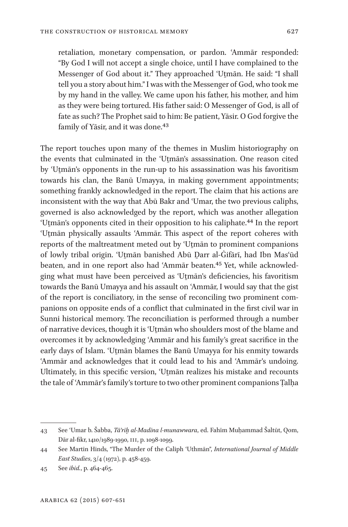retaliation, monetary compensation, or pardon. ʿAmmār responded: "By God I will not accept a single choice, until I have complained to the Messenger of God about it." They approached ʿUṯmān. He said: "I shall tell you a story about him." I was with the Messenger of God, who took me by my hand in the valley. We came upon his father, his mother, and him as they were being tortured. His father said: O Messenger of God, is all of fate as such? The Prophet said to him: Be patient, Yāsir. O God forgive the family of Yāsir, and it was done.<sup>43</sup>

The report touches upon many of the themes in Muslim historiography on the events that culminated in the ʿUṯmān's assassination. One reason cited by ʿUṯmān's opponents in the run-up to his assassination was his favoritism towards his clan, the Banū Umayya, in making government appointments; something frankly acknowledged in the report. The claim that his actions are inconsistent with the way that Abū Bakr and ʿUmar, the two previous caliphs, governed is also acknowledged by the report, which was another allegation ʿUṯmān's opponents cited in their opposition to his caliphate.44 In the report 'Utmān physically assaults 'Ammār. This aspect of the report coheres with reports of the maltreatment meted out by ʿUṯmān to prominent companions of lowly tribal origin. ʿUṯmān banished Abū Ḏarr al-Ġifārī, had Ibn Masʿūd beaten, and in one report also had ʿAmmār beaten.45 Yet, while acknowledging what must have been perceived as ʿUṯmān's deficiencies, his favoritism towards the Banū Umayya and his assault on ʿAmmār, I would say that the gist of the report is conciliatory, in the sense of reconciling two prominent companions on opposite ends of a conflict that culminated in the first civil war in Sunni historical memory. The reconciliation is performed through a number of narrative devices, though it is ʿUṯmān who shoulders most of the blame and overcomes it by acknowledging ʿAmmār and his family's great sacrifice in the early days of Islam. 'Utmān blames the Banū Umayya for his enmity towards ʿAmmār and acknowledges that it could lead to his and ʿAmmār's undoing. Ultimately, in this specific version, ʿUṯmān realizes his mistake and recounts the tale of ʿAmmār's family's torture to two other prominent companions Ṭalḥa

<sup>43</sup> See ʿUmar b. Šabba, *Tāʾrīḫ al-Madīna l-munawwara*, ed. Fahīm Muḥammad Šaltūt, Qom, Dār al-fikr, 1410/1989-1990, III, p. 1098-1099.

<sup>44</sup> See Martin Hinds, "The Murder of the Caliph ʿUthmān", *International Journal of Middle East Studies*, 3/4 (1972), p. 458-459.

<sup>45</sup> See *ibid.*, p. 464-465.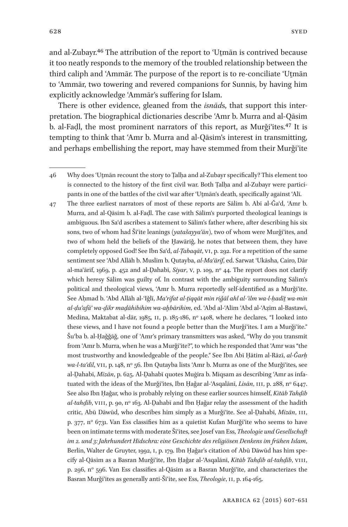and al-Zubayr.<sup>46</sup> The attribution of the report to 'Utmān is contrived because it too neatly responds to the memory of the troubled relationship between the third caliph and ʿAmmār. The purpose of the report is to re-conciliate ʿUṯmān to ʿAmmār, two towering and revered companions for Sunnis, by having him explicitly acknowledge 'Ammār's suffering for Islam.

There is other evidence, gleaned from the *isnād*s, that support this interpretation. The biographical dictionaries describe ʿAmr b. Murra and al-Qāsim b. al-Fadl, the most prominent narrators of this report, as Murǧi'ites.<sup>47</sup> It is tempting to think that ʿAmr b. Murra and al-Qāsim's interest in transmitting, and perhaps embellishing the report, may have stemmed from their Murǧiʾite

47 The three earliest narrators of most of these reports are Sālim b. Abī al-Ǧaʿd, ʿAmr b. Murra, and al-Qāsim b. al-Faḍl. The case with Sālim's purported theological leanings is ambiguous. Ibn Saʿd ascribes a statement to Sālim's father where, after describing his six sons, two of whom had Šīʿite leanings (*yatašayyaʿān*), two of whom were Murǧiʾites, and two of whom held the beliefs of the Ḫawāriǧ, he notes that between them, they have completely opposed God! See Ibn Saʿd, *al-Ṭabaqāt*, VI, p. 292. For a repetition of the same sentiment see ʿAbd Allāh b. Muslim b. Qutayba, *al-Maʿārif*, ed. Sarwat ʿUkāsha, Cairo, Dār al-ma'ārif, 1969, p. 452 and al-Dahabī, *Siyar*, v, p. 109,  $n^{\circ}$  44. The report does not clarify which heresy Sālim was guilty of. In contrast with the ambiguity surrounding Sālim's political and theological views, ʿAmr b. Murra reportedly self-identified as a Murǧiʾite. See Aḥmad b. ʿAbd Allāh al-ʿIǧlī, *Maʿrifat al-ṯiqqāt min riǧāl ahl al-ʿilm wa-l-ḥadīṯ wa-min al-ḍuʿafāʾ wa-ḏikr maḏāhibihim wa-aḫbārihim*, ed. ʿAbd al-ʿAlīm ʿAbd al-ʿAẓīm al-Bastawī, Medina, Maktabat al-dār, 1985, II, p. 185-186, n<sup>o</sup> 1408, where he declares, "I looked into these views, and I have not found a people better than the Murǧiʾites. I am a Murǧiʾite." Šuʿba b. al-Ḥaǧǧāǧ, one of ʿAmr's primary transmitters was asked, "Why do you transmit from 'Amr b. Murra, when he was a Murǧi'ite?", to which he responded that 'Amr was "the most trustworthy and knowledgeable of the people." See Ibn Abī Ḥātim al-Rāzī, *al-Ǧarḥ wa-l-taʿdīl*, VII, p. 148, nº 56. Ibn Qutayba lists ʿAmr b. Murra as one of the Murǧi'ites, see al-Ḏahabī, *Mīzān*, p. 625. Al-Ḏahabī quotes Muġīra b. Miqsam as describing ʿAmr as infatuated with the ideas of the Murǧiʾites, Ibn Ḥaǧar al-ʿAsqalānī, *Lisān*, III, p. 288, no 6447. See also Ibn Ḥaǧar, who is probably relying on these earlier sources himself, *Kitāb Tahḏīb al-tahḏīb*, VIII, p. 90, no 163. Al-Ḏahabī and Ibn Ḥaǧar relay the assessment of the hadith critic, Abū Dāwūd, who describes him simply as a Murǧiʾite. See al-Ḏahabī, *Mīzān*, III, p. 377, nº 6731. Van Ess classifies him as a quietist Kufan Murǧi'ite who seems to have been on intimate terms with moderate Šīʿites, see Josef van Ess, *Theologie und Gesellschaft im 2. und 3: Jahrhundert Hidschra: eine Geschichte des religiösen Denkens im frühen Islam*, Berlin, Walter de Gruyter, 1992, I, p. 179. Ibn Ḥaǧar's citation of Abū Dāwūd has him specify al-Qāsim as a Basran Murǧiʾite, Ibn Ḥaǧar al-ʿAsqalānī, *Kitāb Tahḏīb al-tahḏīb*, VIII, p. 296, nº 596. Van Ess classifies al-Qāsim as a Basran Murǧi'ite, and characterizes the Basran Murǧiʾites as generally anti-Šīʿite, see Ess, *Theologie*, II, p. 164-165.

<sup>46</sup> Why does 'Utmān recount the story to Talha and al-Zubayr specifically? This element too is connected to the history of the first civil war. Both Ṭalḥa and al-Zubayr were participants in one of the battles of the civil war after 'Utmān's death, specifically against 'Alī.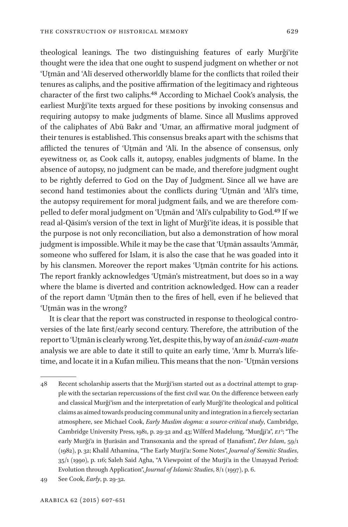theological leanings. The two distinguishing features of early Murǧiʾite thought were the idea that one ought to suspend judgment on whether or not ʿUṯmān and ʿAlī deserved otherworldly blame for the conflicts that roiled their tenures as caliphs, and the positive affirmation of the legitimacy and righteous character of the first two caliphs.48 According to Michael Cook's analysis, the earliest Murǧiʾite texts argued for these positions by invoking consensus and requiring autopsy to make judgments of blame. Since all Muslims approved of the caliphates of Abū Bakr and ʿUmar, an affirmative moral judgment of their tenures is established. This consensus breaks apart with the schisms that afflicted the tenures of 'Utmān and 'Alī. In the absence of consensus, only eyewitness or, as Cook calls it, autopsy, enables judgments of blame. In the absence of autopsy, no judgment can be made, and therefore judgment ought to be rightly deferred to God on the Day of Judgment. Since all we have are second hand testimonies about the conflicts during 'Utmān and 'Alī's time, the autopsy requirement for moral judgment fails, and we are therefore compelled to defer moral judgment on ʿUṯmān and ʿAlī's culpability to God.49 If we read al-Qāsim's version of the text in light of Murǧiʾite ideas, it is possible that the purpose is not only reconciliation, but also a demonstration of how moral judgment is impossible. While it may be the case that 'Utmān assaults 'Ammār, someone who suffered for Islam, it is also the case that he was goaded into it by his clansmen. Moreover the report makes ʿUṯmān contrite for his actions. The report frankly acknowledges 'Utmān's mistreatment, but does so in a way where the blame is diverted and contrition acknowledged. How can a reader of the report damn ʿUṯmān then to the fires of hell, even if he believed that 'Utmān was in the wrong?

It is clear that the report was constructed in response to theological controversies of the late first/early second century. Therefore, the attribution of the report to ʿUṯmān is clearly wrong. Yet, despite this, by way of an *isnād-cum-matn* analysis we are able to date it still to quite an early time, ʿAmr b. Murra's lifetime, and locate it in a Kufan milieu. This means that the non- 'Utmān versions

<sup>48</sup> Recent scholarship asserts that the Murǧiʾism started out as a doctrinal attempt to grapple with the sectarian repercussions of the first civil war. On the difference between early and classical Murǧiʾism and the interpretation of early Murǧiʾite theological and political claims as aimed towards producing communal unity and integration in a fiercely sectarian atmosphere, see Michael Cook, *Early Muslim dogma: a source-critical study*, Cambridge, Cambridge University Press, 1981, p. 29-32 and 43; Wilferd Madelung, "Murdjiʾa", *EI*2; "The early Murǧiʾa in Ḫurāsān and Transoxania and the spread of Ḥanafism", *Der Islam*, 59/1 (1982), p. 32; Khalil Athamina, "The Early Murjiʾa: Some Notes", *Journal of Semitic Studies*, 35/1 (1990), p. 116; Saleh Said Agha, "A Viewpoint of the Murjiʾa in the Umayyad Period: Evolution through Application", *Journal of Islamic Studies*, 8/1 (1997), p. 6.

<sup>49</sup> See Cook, *Early*, p. 29-32.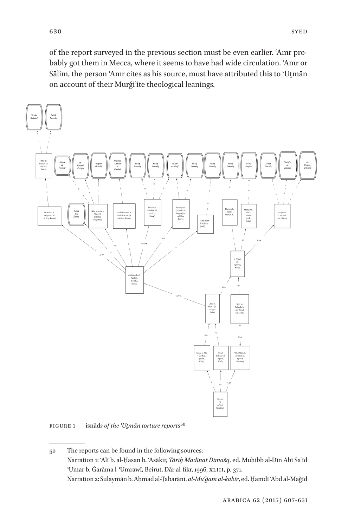of the report surveyed in the previous section must be even earlier. ʿAmr probably got them in Mecca, where it seems to have had wide circulation. ʿAmr or Sālim, the person 'Amr cites as his source, must have attributed this to 'Utmān on account of their Murǧi'ite theological leanings.



Figure 1 isnād*s of the ʿUṯmān torture reports*50

50 The reports can be found in the following sources: Narration 1: ʿAlī b. al-Ḥasan b. ʿAsākir, *Tārīḫ Madīnat Dimašq*, ed. Muḥibb al-Dīn Abī Saʿīd ʿUmar b. Ġarāma l-ʿUmrawī, Beirut, Dār al-fikr, 1996, XLIII, p. 371. Narration 2: Sulaymān b. Aḥmad al-Ṭabarānī, *al-Muʿǧam al-kabīr*, ed. Ḥamdī ʿAbd al-Maǧīd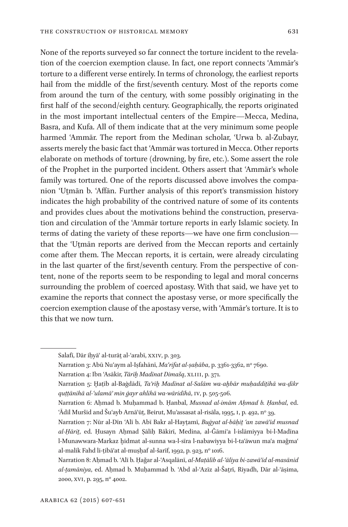None of the reports surveyed so far connect the torture incident to the revelation of the coercion exemption clause. In fact, one report connects ʿAmmār's torture to a different verse entirely. In terms of chronology, the earliest reports hail from the middle of the first/seventh century. Most of the reports come from around the turn of the century, with some possibly originating in the first half of the second/eighth century. Geographically, the reports originated in the most important intellectual centers of the Empire—Mecca, Medina, Basra, and Kufa. All of them indicate that at the very minimum some people harmed 'Ammār. The report from the Medinan scholar, 'Urwa b. al-Zubayr, asserts merely the basic fact that ʿAmmār was tortured in Mecca. Other reports elaborate on methods of torture (drowning, by fire, etc.). Some assert the role of the Prophet in the purported incident. Others assert that ʿAmmār's whole family was tortured. One of the reports discussed above involves the companion ʿUṯmān b. ʿAffān. Further analysis of this report's transmission history indicates the high probability of the contrived nature of some of its contents and provides clues about the motivations behind the construction, preservation and circulation of the ʿAmmār torture reports in early Islamic society. In terms of dating the variety of these reports—we have one firm conclusion that the ʿUṯmān reports are derived from the Meccan reports and certainly come after them. The Meccan reports, it is certain, were already circulating in the last quarter of the first/seventh century. From the perspective of content, none of the reports seem to be responding to legal and moral concerns surrounding the problem of coerced apostasy. With that said, we have yet to examine the reports that connect the apostasy verse, or more specifically the coercion exemption clause of the apostasy verse, with ʿAmmār's torture. It is to this that we now turn.

Salafī, Dār iḥyāʾ al-turāṯ al-ʿarabī, XXIV, p. 303.

- Narration 3: Abū Nuʿaym al-Iṣfahānī, *Maʿrifat al-ṣaḥāba*, p. 3361-3362, no 7690.
- Narration 4: Ibn ʿAsākir, *Tārīḫ Madīnat Dimašq*, XLIII, p. 371.

Narration 5: Ḫaṭīb al-Baġdādī, *Taʾrīḫ Madīnat al-Salām wa-aḫbār muḥaddiṯīhā wa-ḏikr quṭṭānihā al-ʿulamāʾ min ġayr ahlihā wa-wāridīhā*, IV, p. 505-506.

Narration 6: Aḥmad b. Muḥammad b. Ḥanbal, *Musnad al-imām Aḥmad b. Ḥanbal*, ed. 'Ādil Muršid and Šu'ayb Arnā'ūṭ, Beirut, Mu'assasat al-risāla, 1995, I, p. 492, nº 39.

Narration 7: Nūr al-Dīn ʿAlī b. Abī Bakr al-Hayṯamī, *Buġyat al-bāḥiṯ ʿan zawāʾid musnad al-Ḥāriṯ*, ed. Ḥusayn Aḥmad Ṣāliḥ Bākirī, Medina, al-Ǧāmiʿa l-islāmiyya bi-l-Madīna l-Munawwara-Markaz ḫidmat al-sunna wa-l-sīra l-nabawiyya bi-l-taʿāwun maʿa maǧmaʿ al-malik Fahd li-ṭibāʿat al-muṣḥaf al-šarīf, 1992, p. 923, nº 1016.

Narration 8: Aḥmad b. ʿAlī b. Ḥaǧar al-ʿAsqalānī, *al-Maṭālib al-ʿāliya bi-zawāʾid al-masānid al-ṯamāniya*, ed. Aḥmad b. Muḥammad b. ʿAbd al-ʿAzīz al-Šaṯrī, Riyadh, Dār al-ʿāṣima, 2000, XVI, p. 295, nº 4002.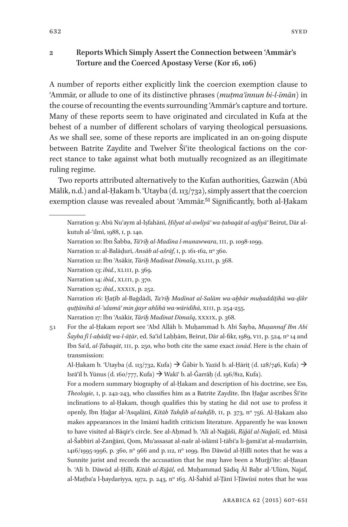## **2 Reports Which Simply Assert the Connection between ʿAmmār's Torture and the Coerced Apostasy Verse (Kor 16, 106)**

A number of reports either explicitly link the coercion exemption clause to ʿAmmār, or allude to one of its distinctive phrases (*muṭmaʾinnun bi-l-īmān*) in the course of recounting the events surrounding ʿAmmār's capture and torture. Many of these reports seem to have originated and circulated in Kufa at the behest of a number of different scholars of varying theological persuasions. As we shall see, some of these reports are implicated in an on-going dispute between Batrite Zaydite and Twelver Šīʿite theological factions on the correct stance to take against what both mutually recognized as an illegitimate ruling regime.

Two reports attributed alternatively to the Kufan authorities, Ġazwān (Abū Mālik, n.d.) and al-Ḥakam b. `Utayba (d. 113/732), simply assert that the coercion exemption clause was revealed about 'Ammār.<sup>51</sup> Significantly, both al-Ḥakam

Narration 17: Ibn ʿAsākir, *Tārīḫ Madīnat Dimašq*, XXXIX, p. 368.

51 For the al-Ḥakam report see ʿAbd Allāh b. Muḥammad b. Abī Šayba, *Muṣannaf Ibn Abī Šayba fī l-aḥādīṯ wa-l-āṯār*, ed. Saʿīd Laḥḥām, Beirut, Dār al-fikr, 1989, VII, p. 524, no 14 and Ibn Saʿd, *al-Ṭabaqāt*, III, p. 250, who both cite the same exact *isnād*. Here is the chain of transmission:

Al-Hakam b. Utayba (d. 113/732, Kufa)  $\rightarrow$  Ğābir b. Yazīd b. al-Hārit (d. 128/746, Kufa)  $\rightarrow$ Isrā'īl b. Yūnus (d. 160/777, Kufa)  $\rightarrow$  Wakī $\circ$ b. al-Ğarrāḥ (d. 196/812, Kufa).

 For a modern summary biography of al-Ḥakam and description of his doctrine, see Ess, *Theologie*, I, p. 242-243, who classifies him as a Batrite Zaydite. Ibn Ḥaǧar ascribes Šīʿite inclinations to al-Ḥakam, though qualifies this by stating he did not use to profess it openly, Ibn Ḥaǧar al-ʿAsqalānī, *Kitāb Tahḏīb al-tahḏīb*, II, p. 373, no 756. Al-Ḥakam also makes appearances in the Imāmī hadith criticism literature. Apparently he was known to have visited al-Bāqir's circle. See al-Aḥmad b. ʿAlī al-Naǧāšī, *Riǧāl al-Naǧašī*, ed. Mūsā al-Šabbīrī al-Zanǧānī, Qom, Muʾassasat al-našr al-islāmī l-tābiʿa li-ǧamāʿat al-mudarrisīn, 1416/1995-1996, p. 360, nº 966 and p. 112, nº 1099. Ibn Dāwūd al-Ḥillī notes that he was a Sunnite jurist and records the accusation that he may have been a Murǧiʾite: al-Ḥasan b. ʿAlī b. Dāwūd al-Ḥillī, *Kitāb al-Riǧāl*, ed. Muḥammad Ṣādiq Āl Baḥr al-ʿUlūm, Najaf, al-Maṭbaʿa l-ḥaydariyya, 1972, p. 243, nº 163. Al-Šahīd al-Ṭānī l-Ṭāwūsī notes that he was

Narration 9: Abū Nuʿaym al-Iṣfahānī, *Ḥilyat al-awliyāʾ wa-ṭabaqāt al-aṣfiyāʾ* Beirut, Dār alkutub al-ʿilmī, 1988, I, p. 140.

Narration 10: Ibn Šabba, *Tāʾrīḫ al-Madīna l-munawwara*, III, p. 1098-1099.

Narration 11: al-Balāḏurī, *Ansāb al-ašrāf*, I, p. 161-162, no 360.

Narration 12: Ibn ʿAsākir, *Tārīḫ Madīnat Dimašq*, XLIII, p. 368.

Narration 13: *ibid.*, XLIII, p. 369.

Narration 14: *ibid.*, XLIII, p. 370.

Narration 15: *ibid.*, XXXIX, p. 252.

Narration 16: Ḫaṭīb al-Baġdādī, *Taʾrīḫ Madīnat al-Salām wa-aḫbār muḥaddiṯīhā wa-ḏikr quṭṭānihā al-ʿulamāʾ min ġayr ahlihā wa-wāridīhā*, XIII, p. 254-255.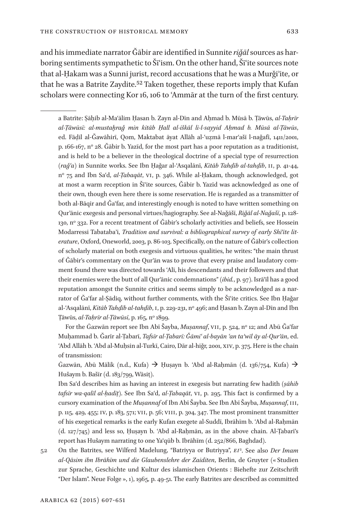and his immediate narrator Ǧābir are identified in Sunnite *riǧāl* sources as harboring sentiments sympathetic to Šī'ism. On the other hand, Šī'ite sources note that al-Ḥakam was a Sunni jurist, record accusations that he was a Murǧiʾite, or that he was a Batrite Zaydite.<sup>52</sup> Taken together, these reports imply that Kufan scholars were connecting Kor 16, 106 to 'Ammār at the turn of the first century.

a Batrīte: Ṣāḥib al-Maʿālim Ḥasan b. Zayn al-Dīn and Aḥmad b. Mūsā b. Ṭāwūs, *al-Taḥrīr al-Ṭāwūsī: al-mustaḫraǧ min kitāb Ḥall al-iškāl li-l-sayyid Aḥmad b. Mūsā al-Ṭāwūs*, ed. Fāḍil al-Ǧawāhirī, Qom, Maktabat āyat Allāh al-ʿuẓmā l-marʿašī l-naǧafī, 1411/2001, p. 166-167,  $n^{\circ}$  28. Ğābir b. Yazīd, for the most part has a poor reputation as a traditionist, and is held to be a believer in the theological doctrine of a special type of resurrection (*raǧʿa*) in Sunnite works. See Ibn Ḥaǧar al-ʿAsqalānī, *Kitāb Tahḏīb al-tahḏīb*, II, p. 41-44, no 75 and Ibn Saʿd, *al-Ṭabaqāt*, VI, p. 346. While al-Ḥakam, though acknowledged, got at most a warm reception in Šīʿite sources, Ǧābir b. Yazīd was acknowledged as one of their own, though even here there is some reservation. He is regarded as a transmitter of both al-Bāqir and Ǧaʿfar, and interestingly enough is noted to have written something on Qurʾānic exegesis and personal virtues/hagiography. See al-Naǧāšī, *Riǧāl al-Naǧašī*, p. 128- 130,  $n^{\circ}$  332. For a recent treatment of Gābir's scholarly activities and beliefs, see Hossein Modarressi Tabatabaʾi, *Tradition and survival: a bibliographical survey of early Shīʾite literature*, Oxford, Oneworld, 2003, p. 86-103. Specifically, on the nature of Ǧābir's collection of scholarly material on both exegesis and virtuous qualities, he writes: "the main thrust of Ǧābir's commentary on the Qurʾān was to prove that every praise and laudatory comment found there was directed towards ʿAlī, his descendants and their followers and that their enemies were the butt of all Qurʾānic condemnations" (*ibid.*, p. 97). Isrāʾīl has a good reputation amongst the Sunnite critics and seems simply to be acknowledged as a narrator of Ǧaʿfar al-Ṣādiq, without further comments, with the Šīʿite critics. See Ibn Ḥaǧar al-'Asqalānī, *Kitāb Tahḍīb al-tahḍīb*, I, p. 229-231, nº 496; and Ḥasan b. Zayn al-Dīn and Ibn Ṭāwūs, *al-Taḥrīr al-Ṭāwūsī*, p. 165, no 1899.

For the Ġazwān report see Ibn Abī Šayba, *Muṣannaf*, VII, p. 524, nº 12; and Abū Ğaʿfar Muḥammad b. Ǧarīr al-Ṭabarī, *Tafsīr al-Ṭabarī: Ǧāmiʿ al-bayān ʿan taʾwīl āy al-Qurʾān*, ed. ʿAbd Allāh b. ʿAbd al-Muḥsin al-Turkī, Cairo, Dār al-hiǧr, 2001, XIV, p. 375. Here is the chain of transmission:

Gazwān, Abū Mālik (n.d., Kufa)  $\rightarrow$  Husayn b. `Abd al-Rahmān (d. 136/754, Kufa)  $\rightarrow$ Hušaym b. Bašīr (d. 183/799, Wāsiṭ).

 Ibn Saʿd describes him as having an interest in exegesis but narrating few hadith (*ṣāhib tafsīr wa-qalīl al-ḥadīṯ*). See Ibn Saʿd, *al-Ṭabaqāt*, VI, p. 295. This fact is confirmed by a cursory examination of the *Muṣannaf* of Ibn Abī Šayba. See Ibn Abī Šayba, *Muṣannaf*, III, p. 115, 429, 455; IV, p. 183, 571; VII, p. 56; VIII, p. 304, 347. The most prominent transmitter of his exegetical remarks is the early Kufan exegete al-Suddī, Ibrāhīm b. ʿAbd al-Raḥmān (d. 127/745) and less so, Ḥuṣayn b. ʿAbd al-Raḥmān, as in the above chain. Al-Ṭabarī's report has Hušaym narrating to one Yaʿqūb b. Ibrāhīm (d. 252/866, Baghdad).

52 On the Batrites, see Wilferd Madelung, "Batriyya or Butriyya", *EI*2. See also *Der Imam al-Qāsim ibn Ibrāhīm und die Glaubenslehre der Zaiditen*, Berlin, de Gruyter (« Studien zur Sprache, Geschichte und Kultur des islamischen Orients : Biehefte zur Zeitschrift "Der Islam". Neue Folge », 1), 1965, p. 49-51. The early Batrites are described as committed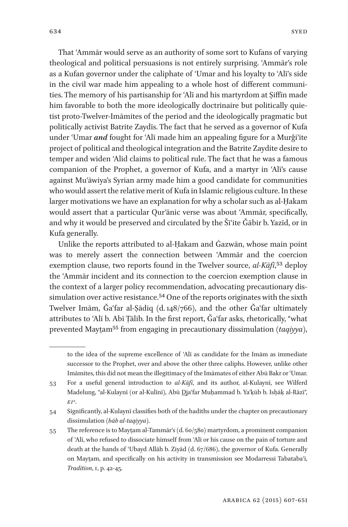That ʿAmmār would serve as an authority of some sort to Kufans of varying theological and political persuasions is not entirely surprising. ʿAmmār's role as a Kufan governor under the caliphate of ʿUmar and his loyalty to ʿAlī's side in the civil war made him appealing to a whole host of different communities. The memory of his partisanship for ʿAlī and his martyrdom at Ṣiffīn made him favorable to both the more ideologically doctrinaire but politically quietist proto-Twelver-Imāmites of the period and the ideologically pragmatic but politically activist Batrite Zaydīs. The fact that he served as a governor of Kufa under ʿUmar *and* fought for ʿAlī made him an appealing figure for a Murǧiʾite project of political and theological integration and the Batrite Zaydite desire to temper and widen ʿAlid claims to political rule. The fact that he was a famous companion of the Prophet, a governor of Kufa, and a martyr in ʿAlī's cause against Muʿāwiya's Syrian army made him a good candidate for communities who would assert the relative merit of Kufa in Islamic religious culture. In these larger motivations we have an explanation for why a scholar such as al-Ḥakam would assert that a particular Qurʾānic verse was about ʿAmmār, specifically, and why it would be preserved and circulated by the Šīʿite Ǧābir b. Yazīd, or in Kufa generally.

Unlike the reports attributed to al-Ḥakam and Ġazwān, whose main point was to merely assert the connection between ʿAmmār and the coercion exemption clause, two reports found in the Twelver source, *al-Kāfī*,<sup>53</sup> deploy the ʿAmmār incident and its connection to the coercion exemption clause in the context of a larger policy recommendation, advocating precautionary dissimulation over active resistance.<sup>54</sup> One of the reports originates with the sixth Twelver Imām, Ğaʿfar al-Sādiq (d. 148/766), and the other Ğaʿfar ultimately attributes to ʿAlī b. Abī Ṭālib. In the first report, Ǧaʿfar asks, rhetorically, "what prevented Mayṯam55 from engaging in precautionary dissimulation (*taqiyya*),

to the idea of the supreme excellence of ʿAlī as candidate for the Imām as immediate successor to the Prophet, over and above the other three caliphs. However, unlike other Imāmites, this did not mean the illegitimacy of the Imāmates of either Abū Bakr or ʿUmar.

<sup>53</sup> For a useful general introduction to *al-Kāfī*, and its author, al-Kulaynī, see Wilferd Madelung, "al-Kulaynī (or al-Kulīnī), Abū Djaʿfar Muḥammad b. Yaʿḳūb b. Isḥāḳ al-Rāzī", *EI*2.

<sup>54</sup> Significantly, al-Kulaynī classifies both of the hadiths under the chapter on precautionary dissimulation (*bāb al-taqiyya*).

<sup>55</sup> The reference is to Mayṯam al-Tammār's (d. 60/580) martyrdom, a prominent companion of ʿAlī, who refused to dissociate himself from ʿAlī or his cause on the pain of torture and death at the hands of ʿUbayd Allāh b. Ziyād (d. 67/686), the governor of Kufa. Generally on Mayṯam, and specifically on his activity in transmission see Modarressi Tabatabaʾi, *Tradition*, I, p. 42-45.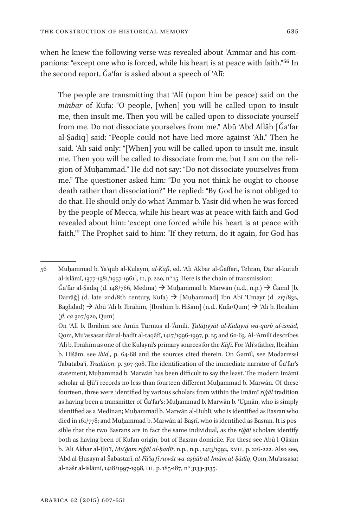when he knew the following verse was revealed about ʿAmmār and his companions: "except one who is forced, while his heart is at peace with faith."56 In the second report, Ǧaʿfar is asked about a speech of ʿAlī:

The people are transmitting that ʿAlī (upon him be peace) said on the *minbar* of Kufa: "O people, [when] you will be called upon to insult me, then insult me. Then you will be called upon to dissociate yourself from me. Do not dissociate yourselves from me." Abū ʿAbd Allāh [Ǧaʿfar al-Ṣādiq] said: "People could not have lied more against ʿAlī." Then he said. ʿAlī said only: "[When] you will be called upon to insult me, insult me. Then you will be called to dissociate from me, but I am on the religion of Muḥammad." He did not say: "Do not dissociate yourselves from me." The questioner asked him: "Do you not think he ought to choose death rather than dissociation?" He replied: "By God he is not obliged to do that. He should only do what ʿAmmār b. Yāsir did when he was forced by the people of Mecca, while his heart was at peace with faith and God revealed about him: 'except one forced while his heart is at peace with faith.'" The Prophet said to him: "If they return, do it again, for God has

 $\check{G}a$ 'far al-Ṣādiq (d. 148/766, Medina) → Muḥammad b. Marwān (n.d., n.p.) → Ğamīl [b. Darrāǧ] (d. late 2nd/8th century, Kufa)  $\rightarrow$  [Muḥammad] Ibn Abī 'Umayr (d. 217/832, Baghdad)  $\rightarrow$  Abū ʿAlī b. Ibrāhīm, [Ibrāhīm b. Hišām] (n.d., Kufa/Qum)  $\rightarrow$  ʿAlī b. Ibrāhīm (*fl. ca* 307/920, Qum)

 On ʿAlī b. Ibrāhīm see Amīn Turmus al-ʿĀmilī, *Ṯulāṯiyyāt al-Kulaynī wa-qurb al-isnād*, Qom, Muʾassasat dār al-ḥadīṯ al-ṯaqāfī, 1417/1996-1997, p. 25 and 60-63. Al-ʿĀmilī describes ʿAlī b. Ibrāhīm as one of the Kulaynī's primary sources for the *Kāfī*. For ʿAlī's father, Ibrāhīm b. Hišām, see *ibid.*, p. 64-68 and the sources cited therein. On Ǧamīl, see Modarressi Tabatabaʾi, *Tradition*, p. 307-308. The identification of the immediate narrator of Ǧaʿfar's statement, Muhammad b. Marwān has been difficult to say the least. The modern Imāmī scholar al-Hū'ī records no less than fourteen different Muhammad b. Marwān. Of these fourteen, three were identified by various scholars from within the Imāmī *riǧāl* tradition as having been a transmitter of Ǧaʿfar's: Muḥammad b. Marwān b. ʿUṯmān, who is simply identified as a Medinan; Muhammad b. Marwān al-Duhlī, who is identified as Basran who died in 161/778; and Muḥammad b. Marwān al-Baṣrī, who is identified as Basran. It is possible that the two Basrans are in fact the same individual, as the *riǧāl* scholars identify both as having been of Kufan origin, but of Basran domicile. For these see Abū l-Qāsim b. ʿAlī Akbar al-Ḫūʾī, *Muʿǧam riǧāl al-ḥadīṯ*, n.p., n.p., 1413/1992, XVII, p. 216-222. Also see, ʿAbd al-Ḥusayn al-Šabastarī, *al-Fāʾiq fī ruwāt wa-aṣḥāb al-Imām al-Ṣādiq*, Qom, Muʾassasat al-našr al-islāmī, 1418/1997-1998, III, p. 185-187, no 3133-3135.

<sup>56</sup> Muḥammad b. Yaʿqūb al-Kulaynī, *al-Kāfī*, ed. ʿAlī Akbar al-Ġaffārī, Tehran, Dār al-kutub al-islāmī, 1377-1381/1957-1961], II, p. 220, nº 15. Here is the chain of transmission: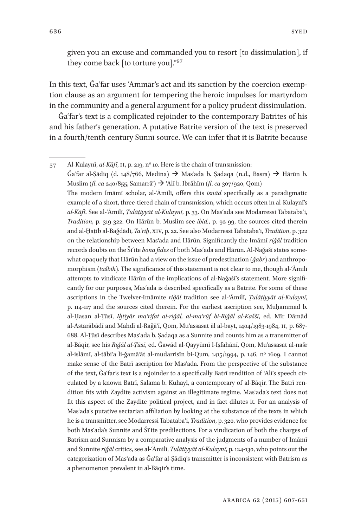given you an excuse and commanded you to resort [to dissimulation], if they come back [to torture you]."57

In this text,  $\check{G}$  as act and its sanction by the coercion exemption clause as an argument for tempering the heroic impulses for martyrdom in the community and a general argument for a policy prudent dissimulation.

Ǧaʿfar's text is a complicated rejoinder to the contemporary Batrites of his and his father's generation. A putative Batrite version of the text is preserved in a fourth/tenth century Sunnī source. We can infer that it is Batrite because

 The modern Imāmī scholar, al-ʿĀmilī, offers this *isnād* specifically as a paradigmatic example of a short, three-tiered chain of transmission, which occurs often in al-Kulaynī's *al-Kāfī*. See al-ʿĀmilī, *Ṯulāṯiyyāt al-Kulaynī*, p. 33. On Masʿada see Modarressi Tabatabaʾi, *Tradition*, p. 319-322. On Hārūn b. Muslim see *ibid.*, p. 92-99, the sources cited therein and al-Ḫaṭīb al-Baǧdādī, *Taʾrīḫ*, XIV, p. 22. See also Modarressi Tabatabaʾi, *Tradition*, p. 322 on the relationship between Masʿada and Hārūn. Significantly the Imāmī *riǧāl* tradition records doubts on the Šīʿite *bona fides* of both Masʿada and Hārūn. Al-Naǧašī states somewhat opaquely that Hārūn had a view on the issue of predestination (*ǧabr*) and anthropomorphism (*tašbīh*). The significance of this statement is not clear to me, though al-ʿĀmilī attempts to vindicate Hārūn of the implications of al-Naǧašī's statement. More significantly for our purposes, Masʿada is described specifically as a Batrite. For some of these ascriptions in the Twelver-Imāmite *riǧāl* tradition see al-ʿĀmilī, *Ṯulāṯiyyāt al-Kulaynī*, p. 114-117 and the sources cited therein. For the earliest ascription see, Muḥammad b. al-Ḥasan al-Ṭūsī, *Iḫtiyār maʿrifat al-riǧāl, al-maʿrūf bi-Riǧāl al-Kaššī*, ed. Mīr Dāmād al-Astarābādī and Mahdī al-Raǧāʾī, Qom, Muʾassasat āl al-bayt, 1404/1983-1984, II, p. 687- 688. Al-Ṭūsī describes Masʿada b. Ṣadaqa as a Sunnite and counts him as a transmitter of al-Bāqir, see his *Riǧāl al-Ṭūsī*, ed. Ǧawād al-Qayyūmī l-Iṣfahānī, Qom, Muʾassasat al-našr al-islāmī, al-tābi'a li-ǧamā'āt al-mudarrisīn bi-Qum, 1415/1994, p. 146, nº 1609. I cannot make sense of the Batrī ascription for Masʿada. From the perspective of the substance of the text, Ǧaʿfar's text is a rejoinder to a specifically Batrī rendition of ʿAlī's speech circulated by a known Batrī, Salama b. Kuhayl, a contemporary of al-Bāqir. The Batrī rendition fits with Zaydite activism against an illegitimate regime. Masʿada's text does not fit this aspect of the Zaydite political project, and in fact dilutes it. For an analysis of Masʿada's putative sectarian affiliation by looking at the substance of the texts in which he is a transmitter, see Modarressi Tabatabaʾi, *Tradition*, p. 320, who provides evidence for both Masʿada's Sunnite and Šīʿite predilections. For a vindication of both the charges of Batrism and Sunnism by a comparative analysis of the judgments of a number of Imāmī and Sunnite *riǧāl* critics, see al-ʿĀmilī, *Ṯulāṯiyyāt al-Kulaynī*, p. 124-130, who points out the categorization of Masʿada as Ǧaʿfar al-Ṣādiq's transmitter is inconsistent with Batrism as a phenomenon prevalent in al-Bāqir's time.

 $57$  Al-Kulaynī, *al-Kāfī*,  $11$ , p. 219,  $n^{\circ}$  10. Here is the chain of transmission:

Ğa'far al-Şādiq (d. 148/766, Medina) → Mas'ada b. Şadaqa (n.d., Basra) → Hārūn b. Muslim (*fl. ca* 240/855, Samarrā<sup> $\rightarrow$ </sup> Alī b. Ibrāhīm (*fl. ca* 307/920, Oom)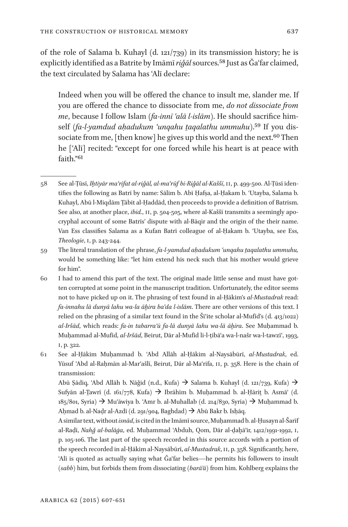of the role of Salama b. Kuhayl (d. 121/739) in its transmission history; he is explicitly identified as a Batrite by Imāmī *riǧāl* sources.58 Just as Ǧaʿfar claimed, the text circulated by Salama has ʿAlī declare:

Indeed when you will be offered the chance to insult me, slander me. If you are offered the chance to dissociate from me, *do not dissociate from me*, because I follow Islam (*fa-innī ʿalā l-islām*). He should sacrifice himself (*fa-l-yamdud ahadukum 'unqahu taqalathu ummuhu*).<sup>59</sup> If you dissociate from me, [then know] he gives up this world and the next.<sup>60</sup> Then he [ʿAlī] recited: "except for one forced while his heart is at peace with faith<sup>"61</sup>

- 58 See al-Ṭūsī, *Iḫtiyār maʿrifat al-riǧāl, al-maʿrūf bi-Riǧāl al-Kaššī*, II, p. 499-500. Al-Ṭūsī identifies the following as Batrī by name: Sālim b. Abī Ḥafṣa, al-Ḥakam b. ʿUtayba, Salama b. Kuhayl, Abū l-Miqdām Ṯābit al-Ḥaddād, then proceeds to provide a definition of Batrism. See also, at another place, *ibid.*, II, p. 504-505, where al-Kaššī transmits a seemingly apocryphal account of some Batrīs' dispute with al-Bāqir and the origin of the their name. Van Ess classifies Salama as a Kufan Batrī colleague of al-Ḥakam b. ʿUtayba, see Ess, *Theologie*, I, p. 243-244.
- 59 The literal translation of the phrase, *fa-l-yamdud aḥadukum ʿunqahu ṯaqalathu ummuhu,*  would be something like: "let him extend his neck such that his mother would grieve for him".
- 60 I had to amend this part of the text. The original made little sense and must have gotten corrupted at some point in the manuscript tradition. Unfortunately, the editor seems not to have picked up on it. The phrasing of text found in al-Ḥākim's *al-Mustadrak* read: *fa-innahu lā dunyā lahu wa-la āḫira baʿda l-islām*. There are other versions of this text. I relied on the phrasing of a similar text found in the Šīʿite scholar al-Mufīd's (d. 413/1022) *al-Iršād*, which reads: *fa-in tabarraʾū fa-lā dunyā lahu wa-lā āḫira*. See Muḥammad b. Muḥammad al-Mufīd, *al-Iršād*, Beirut, Dār al-Mufīd li-l-ṭibāʿa wa-l-našr wa-l-tawzīʿ, 1993, I, p. 322.

61 See al-Ḥākim Muḥammad b. ʿAbd Allāh al-Ḥākim al-Naysābūrī, *al-Mustadrak*, ed. Yūsuf ʿAbd al-Raḥmān al-Marʿašlī, Beirut, Dār al-Maʿrifa, II, p. 358. Here is the chain of transmission:

Abū Șādiq, `Abd Allāh b. Nāǧid (n.d., Kufa)  $\rightarrow$  Salama b. Kuhayl (d. 121/739, Kufa)  $\rightarrow$ Sufyān al-Ṭawrī (d. 161/778, Kufa)  $\rightarrow$  Ibrāhīm b. Muḥammad b. al-Ḥāriṯ b. Asmā' (d. 185/801, Syria)  $\rightarrow$  Mu'āwiya b. 'Amr b. al-Muhallab (d. 214/830, Syria)  $\rightarrow$  Muḥammad b. Aḥmad b. al-Naḍr al-Azdī (d. 291/904, Baghdad)  $\rightarrow$  Abū Bakr b. Isḥāq.

 A similar text, without *isnād*, is cited in the Imāmī source, Muḥammad b. al-Ḥusayn al-Šarīf al-Raḍī, *Nahǧ al-balāġa*, ed. Muḥammad ʿAbduh, Qom, Dār al-ḏaḫāʾir, 1412/1991-1992, I, p. 105-106. The last part of the speech recorded in this source accords with a portion of the speech recorded in al-Ḥākim al-Naysābūrī, *al-Mustadrak*, II, p. 358. Significantly, here, ʿAlī is quoted as actually saying what Ǧaʿfar belies—he permits his followers to insult (*sabb*) him, but forbids them from dissociating (*barāʾā*) from him. Kohlberg explains the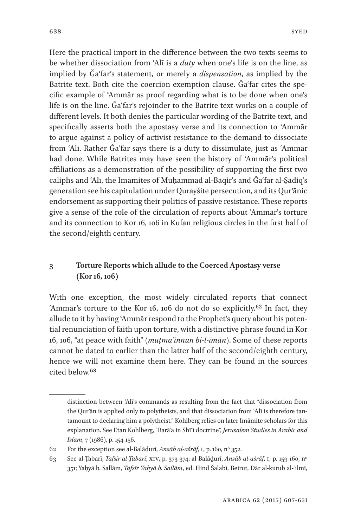Here the practical import in the difference between the two texts seems to be whether dissociation from ʿAlī is a *duty* when one's life is on the line, as implied by Ǧaʿfar's statement, or merely a *dispensation*, as implied by the Batrite text. Both cite the coercion exemption clause. Ǧaʿfar cites the specific example of ʿAmmār as proof regarding what is to be done when one's life is on the line. Ǧaʿfar's rejoinder to the Batrite text works on a couple of different levels. It both denies the particular wording of the Batrite text, and specifically asserts both the apostasy verse and its connection to ʿAmmār to argue against a policy of activist resistance to the demand to dissociate from `Alī. Rather Ğaʿfar says there is a duty to dissimulate, just as `Ammār had done. While Batrites may have seen the history of ʿAmmār's political affiliations as a demonstration of the possibility of supporting the first two caliphs and ʿAlī, the Imāmites of Muḥammad al-Bāqir's and Ǧaʿfar al-Ṣādiq's generation see his capitulation under Qurayšite persecution, and its Qurʾānic endorsement as supporting their politics of passive resistance. These reports give a sense of the role of the circulation of reports about ʿAmmār's torture and its connection to Kor 16, 106 in Kufan religious circles in the first half of the second/eighth century.

# **3 Torture Reports which allude to the Coerced Apostasy verse (Kor 16, 106)**

With one exception, the most widely circulated reports that connect 'Ammār's torture to the Kor 16, 106 do not do so explicitly.<sup>62</sup> In fact, they allude to it by having 'Ammār respond to the Prophet's query about his potential renunciation of faith upon torture, with a distinctive phrase found in Kor 16, 106, "at peace with faith" (*muṭmaʾinnun bi-l-īmān*). Some of these reports cannot be dated to earlier than the latter half of the second/eighth century, hence we will not examine them here. They can be found in the sources cited below.63

distinction between ʿAlī's commands as resulting from the fact that "dissociation from the Qurʾān is applied only to polytheists, and that dissociation from ʿAlī is therefore tantamount to declaring him a polytheist." Kohlberg relies on later Imāmite scholars for this explanation. See Etan Kohlberg, "Barāʾa in Shīʿī doctrine", *Jerusalem Studies in Arabic and Islam*, 7 (1986), p. 154-156.

<sup>62</sup> For the exception see al-Balāḏurī, *Ansāb al-ašrāf*, I, p. 160, no 352.

<sup>63</sup> See al-Ṭabarī, *Tafsīr al-Ṭabarī*, XIV, p. 373-374; al-Balāḏurī, *Ansāb al-ašrāf*, I, p. 159-160, no 351; Yaḥyā b. Sallām, *Tafsīr Yaḥyā b. Sallām*, ed. Hind Šalabī, Beirut, Dār al-kutub al-ʿilmī,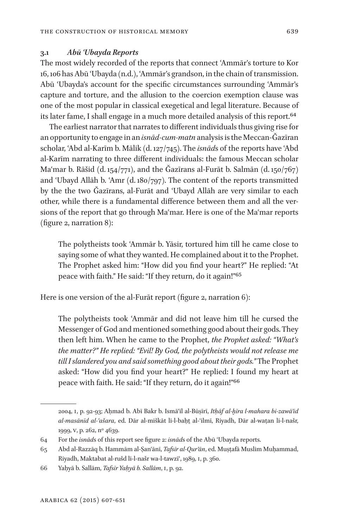## **3.1** *Abū ʿUbayda Reports*

The most widely recorded of the reports that connect ʿAmmār's torture to Kor 16, 106 has Abū ʿUbayda (n.d.), ʿAmmār's grandson, in the chain of transmission. Abū ʿUbayda's account for the specific circumstances surrounding ʿAmmār's capture and torture, and the allusion to the coercion exemption clause was one of the most popular in classical exegetical and legal literature. Because of its later fame, I shall engage in a much more detailed analysis of this report.<sup>64</sup>

The earliest narrator that narrates to different individuals thus giving rise for an opportunity to engage in an *isnād-cum-matn* analysis is the Meccan-Ǧazīran scholar, ʿAbd al-Karīm b. Mālik (d. 127/745). The *isnād*s of the reports have ʿAbd al-Karīm narrating to three different individuals: the famous Meccan scholar Ma'mar b. Rāšid (d. 154/771), and the Gazīrans al-Furāt b. Salmān (d. 150/767) and ʿUbayd Allāh b. ʿAmr (d. 180/797). The content of the reports transmitted by the the two Ǧazīrans, al-Furāt and ʿUbayd Allāh are very similar to each other, while there is a fundamental difference between them and all the versions of the report that go through Maʿmar. Here is one of the Maʿmar reports (figure 2, narration 8):

The polytheists took ʿAmmār b. Yāsir, tortured him till he came close to saying some of what they wanted. He complained about it to the Prophet. The Prophet asked him: "How did you find your heart?" He replied: "At peace with faith." He said: "If they return, do it again!"65

Here is one version of the al-Furāt report (figure 2, narration 6):

The polytheists took ʿAmmār and did not leave him till he cursed the Messenger of God and mentioned something good about their gods. They then left him. When he came to the Prophet, *the Prophet asked: "What's the matter?" He replied: "Evil! By God, the polytheists would not release me till I slandered you and said something good about their gods."* The Prophet asked: "How did you find your heart?" He replied: I found my heart at peace with faith. He said: "If they return, do it again!"66

<sup>2004,</sup> I, p. 92-93; Aḥmad b. Abī Bakr b. Ismāʿīl al-Būṣīrī, *Itḥāf al-ḫīra l-mahara bi-zawāʾid al-masānīd al-ʿašara*, ed. Dār al-miškāt li-l-baḥṯ al-ʿilmī, Riyadh, Dār al-waṭan li-l-našr, 1999, V, p. 262, nº 4639.

<sup>64</sup> For the *isnād*s of this report see figure 2: *isnād*s of the Abū ʿUbayda reports.

<sup>65</sup> Abd al-Razzāq b. Hammām al-Ṣanʿānī, *Tafsīr al-Qurʾān*, ed. Muṣṭafā Muslim Muḥammad, Riyadh, Maktabat al-rušd li-l-našr wa-l-tawzīʿ, 1989, I, p. 360.

<sup>66</sup> Yaḥyā b. Sallām, *Tafsīr Yaḥyā b. Sallām*, I, p. 92.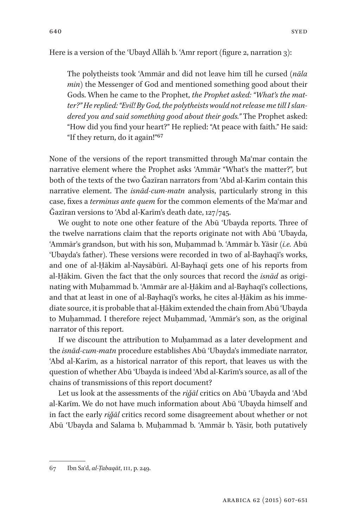Here is a version of the 'Ubayd Allāh b. 'Amr report (figure 2, narration 3):

The polytheists took ʿAmmār and did not leave him till he cursed (*nāla min*) the Messenger of God and mentioned something good about their Gods. When he came to the Prophet, *the Prophet asked: "What's the matter?" He replied: "Evil! By God, the polytheists would not release me till I slandered you and said something good about their gods."* The Prophet asked: "How did you find your heart?" He replied: "At peace with faith." He said: "If they return, do it again!"67

None of the versions of the report transmitted through Maʿmar contain the narrative element where the Prophet asks ʿAmmār "What's the matter?", but both of the texts of the two Ǧazīran narrators from ʿAbd al-Karīm contain this narrative element. The *isnād-cum-matn* analysis, particularly strong in this case, fixes a *terminus ante quem* for the common elements of the Maʿmar and Ǧazīran versions to ʿAbd al-Karīm's death date, 127/745.

We ought to note one other feature of the Abū ʿUbayda reports. Three of the twelve narrations claim that the reports originate not with Abū ʿUbayda, ʿAmmār's grandson, but with his son, Muḥammad b. ʿAmmār b. Yāsir (*i.e.* Abū ʿUbayda's father). These versions were recorded in two of al-Bayhaqī's works, and one of al-Ḥākim al-Naysābūrī. Al-Bayhaqī gets one of his reports from al-Ḥākim. Given the fact that the only sources that record the *isnād* as originating with Muḥammad b. ʿAmmār are al-Ḥākim and al-Bayhaqī's collections, and that at least in one of al-Bayhaqī's works, he cites al-Ḥākim as his immediate source, it is probable that al-Ḥākim extended the chain from Abū ʿUbayda to Muḥammad. I therefore reject Muḥammad, ʿAmmār's son, as the original narrator of this report.

If we discount the attribution to Muḥammad as a later development and the *isnād-cum-matn* procedure establishes Abū ʿUbayda's immediate narrator, ʿAbd al-Karīm, as a historical narrator of this report, that leaves us with the question of whether Abū ʿUbayda is indeed ʿAbd al-Karīm's source, as all of the chains of transmissions of this report document?

Let us look at the assessments of the *riǧāl* critics on Abū ʿUbayda and ʿAbd al-Karīm. We do not have much information about Abū ʿUbayda himself and in fact the early *riǧāl* critics record some disagreement about whether or not Abū ʿUbayda and Salama b. Muḥammad b. ʿAmmār b. Yāsir, both putatively

<sup>67</sup> Ibn Saʿd, *al-Ṭabaqāt*, III, p. 249.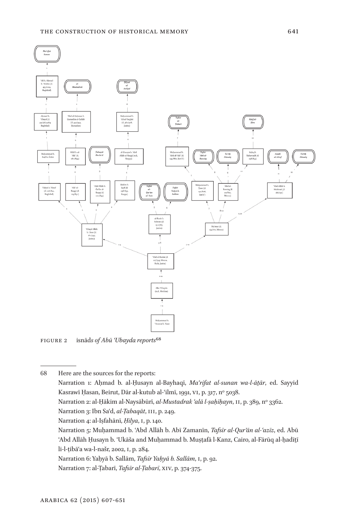

Figure 2 isnād*s of Abū ʿUbayda reports*68

68 Here are the sources for the reports: Narration 1: Aḥmad b. al-Ḥusayn al-Bayhaqī, *Maʿrifat al-sunan wa-l-āṯār*, ed. Sayyid Kasrawī Ḥasan, Beirut, Dār al-kutub al-'ilmī, 1991, VI, p. 317, nº 5038. Narration 2: al-Ḥākim al-Naysābūrī, *al-Mustadrak ʿalā l-ṣaḥīḥayn*, II, p. 389, no 3362. Narration 3: Ibn Saʿd, *al-Ṭabaqāt*, III, p. 249. Narration 4: al-Iṣfahānī, *Ḥilya*, I, p. 140. Narration 5: Muḥammad b. ʿAbd Allāh b. Abī Zamanīn, *Tafsīr al-Qurʾān al-ʿazīz*, ed. Abū ʿAbd Allāh Ḥusayn b. ʿUkāša and Muḥammad b. Muṣṭafā l-Kanz, Cairo, al-Fārūq al-ḥadīṯī li-l-ṭibāʿa wa-l-našr, 2002, I, p. 284. Narration 6: Yaḥyā b. Sallām, *Tafsīr Yaḥyā b. Sallām*, I, p. 92. Narration 7: al-Ṭabarī, *Tafsīr al-Ṭabarī*, XIV, p. 374-375.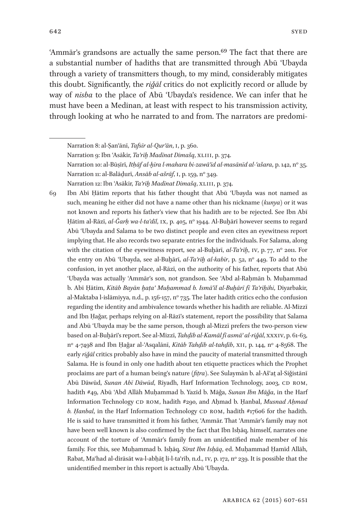'Ammār's grandsons are actually the same person.<sup>69</sup> The fact that there are a substantial number of hadiths that are transmitted through Abū ʿUbayda through a variety of transmitters though, to my mind, considerably mitigates this doubt. Significantly, the *riǧāl* critics do not explicitly record or allude by way of *nisba* to the place of Abū ʿUbayda's residence. We can infer that he must have been a Medinan, at least with respect to his transmission activity, through looking at who he narrated to and from. The narrators are predomi-

69 Ibn Abī Ḥātim reports that his father thought that Abū ʿUbayda was not named as such, meaning he either did not have a name other than his nickname (*kunya*) or it was not known and reports his father's view that his hadith are to be rejected. See Ibn Abī Ḥātim al-Rāzī, *al-Ǧarḥ wa-l-taʿdīl*, IX, p. 405, no 1944. Al-Buḫārī however seems to regard Abū ʿUbayda and Salama to be two distinct people and even cites an eyewitness report implying that. He also records two separate entries for the individuals. For Salama, along with the citation of the eyewitness report, see al-Buḥārī, *al-Ta'rīḥ*, IV, p. 77, n<sup>o</sup> 2011. For the entry on Abū 'Ubayda, see al-Buḥārī, *al-Ta'rīḥ al-kabīr*, p. 52, n<sup>o</sup> 449. To add to the confusion, in yet another place, al-Rāzī, on the authority of his father, reports that Abū 'Ubayda was actually 'Ammār's son, not grandson. See 'Abd al-Rahmān b. Muhammad b. Abī Ḥātim, *Kitāb Bayān ḫaṭaʾ Muḥammad b. Ismāʿīl al-Buḫārī fī Taʾrīḫihi*, Diyarbakir, al-Maktaba l-islāmiyya, n.d., p. 156-157, n<sup>o</sup> 735. The later hadith critics echo the confusion regarding the identity and ambivalence towards whether his hadith are reliable. Al-Mizzī and Ibn Ḥaǧar, perhaps relying on al-Rāzī's statement, report the possibility that Salama and Abū ʿUbayda may be the same person, though al-Mizzī prefers the two-person view based on al-Buḫārī's report. See al-Mizzī, *Tahḏīb al-Kamāl fī asmāʾ al-riǧāl*, XXXIV, p. 61-63, n<sup>o</sup> 4-7498 and Ibn Ḥaǧar al-ʿAsqalānī, *Kitāb Tahḍīb al-tahḍīb*, XII, p. 144, n<sup>o</sup> 4-8568. The early *riǧāl* critics probably also have in mind the paucity of material transmitted through Salama. He is found in only one hadith about ten etiquette practices which the Prophet proclaims are part of a human being's nature *(fitra)*. See Sulaymān b. al-Aš'at al-Siğistānī Abū Dāwūd, *Sunan Abī Dāwūd*, Riyadh, Harf Information Technology, 2003, CD ROM, hadith #49, Abū ʿAbd Allāh Muḥammad b. Yazīd b. Māǧa, *Sunan Ibn Māǧa*, in the Harf Information Technology CD ROM, hadith #290, and Aḥmad b. Ḥanbal, *Musnad Aḥmad b. Ḥanbal*, in the Harf Information Technology CD ROM, hadith #17606 for the hadith. He is said to have transmitted it from his father, ʿAmmār. That ʿAmmār's family may not have been well known is also confirmed by the fact that Ibn Isḥāq, himself, narrates one account of the torture of ʿAmmār's family from an unidentified male member of his family. For this, see Muḥammad b. Isḥāq, *Sīrat Ibn Isḥāq*, ed. Muḥammad Ḥamīd Allāh, Rabat, Ma'had al-dirāsāt wa-l-abḥāṯ li-l-ta'rīb, n.d., IV, p. 172, nº 239. It is possible that the unidentified member in this report is actually Abū ʿUbayda.

Narration 8: al-Ṣanʿānī, *Tafsīr al-Qurʾān*, I, p. 360.

Narration 9: Ibn ʿAsākir, *Taʾrīḫ Madīnat Dimašq*, XLIII, p. 374.

Narration 10: al-Būṣīrī, *Ithāf al-hīra l-mahara bi-zawā'id al-masānīd al-'ašara*, p. 142, nº 35. Narration 11: al-Balāḏurī, *Ansāb al-ašrāf*, I, p. 159, no 349.

Narration 12: Ibn ʿAsākir, *Taʾrīḫ Madīnat Dimašq*, XLIII, p. 374.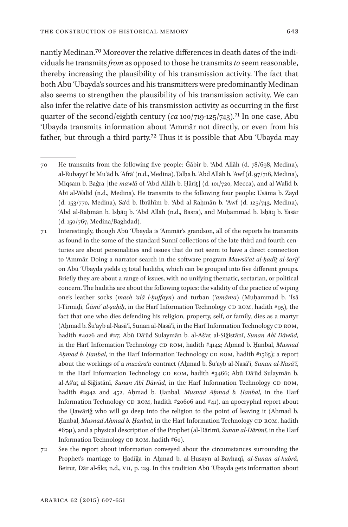nantly Medinan.70 Moreover the relative differences in death dates of the individuals he transmits *from* as opposed to those he transmits *to* seem reasonable, thereby increasing the plausibility of his transmission activity. The fact that both Abū ʿUbayda's sources and his transmitters were predominantly Medinan also seems to strengthen the plausibility of his transmission activity. We can also infer the relative date of his transmission activity as occurring in the first quarter of the second/eighth century (*ca* 100/719-125/743).71 In one case, Abū ʿUbayda transmits information about ʿAmmār not directly, or even from his father, but through a third party.<sup>72</sup> Thus it is possible that Abū 'Ubayda may

- 71 Interestingly, though Abū ʿUbayda is ʿAmmār's grandson, all of the reports he transmits as found in the some of the standard Sunnī collections of the late third and fourth centuries are about personalities and issues that do not seem to have a direct connection to ʿAmmār. Doing a narrator search in the software program *Mawsūʿat al-ḥadīṯ al-šarīf* on Abū ʿUbayda yields 13 total hadiths, which can be grouped into five different groups. Briefly they are about a range of issues, with no unifying thematic, sectarian, or political concern. The hadiths are about the following topics: the validity of the practice of wiping one's leather socks (*masḥ ʿalā l-ḫuffayn*) and turban (*ʿamāma*) (Muḥammad b. ʿĪsā l-Tirmiḏī, *Ǧāmiʿ al-ṣaḥīḥ*, in the Harf Information Technology CD ROM, hadith #95), the fact that one who dies defending his religion, property, self, or family, dies as a martyr (Ahmad b. Šuʿayb al-Nasāʾī, Sunan al-Nasāʾī, in the Harf Information Technology CD ROM, hadith #4026 and #27; Abū Dāʾūd Sulaymān b. al-Ašʿaṯ al-Siǧistānī, *Sunan Abī Dāwūd*, in the Harf Information Technology CD ROM, hadith #4142; Aḥmad b. Ḥanbal, *Musnad Aḥmad b. Ḥanbal*, in the Harf Information Technology CD ROM, hadith #1565); a report about the workings of a *muzāraʿa* contract (Aḥmad b. Šuʿayb al-Nasāʾī, *Sunan al-Nasāʾī*, in the Harf Information Technology CD ROM, hadith #3466; Abū Dāʾūd Sulaymān b. al-Ašʿaṯ al-Siǧistānī, *Sunan Abī Dāwūd*, in the Harf Information Technology CD ROM, hadith #2942 and 452, Aḥmad b. Ḥanbal, *Musnad Aḥmad b. Ḥanbal*, in the Harf Information Technology CD ROM, hadith #20606 and #41), an apocryphal report about the Ḥawāriǧ who will go deep into the religion to the point of leaving it (Aḥmad b. Hanbal, *Musnad Ahmad b. Hanbal*, in the Harf Information Technology CD ROM, hadith #6741), and a physical description of the Prophet (al-Dārimī, *Sunan al-Dārimī*, in the Harf Information Technology CD ROM, hadith #60).
- 72 See the report about information conveyed about the circumstances surrounding the Prophet's marriage to Ḫadīǧa in Aḥmad b. al-Ḥusayn al-Bayhaqī, *al-Sunan al-kubrā*, Beirut, Dār al-fikr, n.d., VII, p. 129. In this tradition Abū ʿUbayda gets information about

<sup>70</sup> He transmits from the following five people: Ǧābir b. ʿAbd Allāh (d. 78/698, Medina), al-Rubayyiʿ bt Muʿāḏ b. ʿAfrāʾ (n.d., Medina), Ṭalḥa b. ʿAbd Allāh b. ʿAwf (d. 97/716, Medina), Miqsam b. Baǧra [the *mawlā* of ʿAbd Allāh b. Ḥāriṯ] (d. 101/720, Mecca), and al-Walīd b. Abī al-Walīd (n.d., Medina). He transmits to the following four people: Usāma b. Zayd (d. 153/770, Medina), Saʿd b. Ibrāhīm b. ʿAbd al-Raḥmān b. ʿAwf (d. 125/743, Medina), ʿAbd al-Raḥmān b. Isḥāq b. ʿAbd Allāh (n.d., Basra), and Muḥammad b. Isḥāq b. Yasār (d. 150/767, Medina/Baghdad).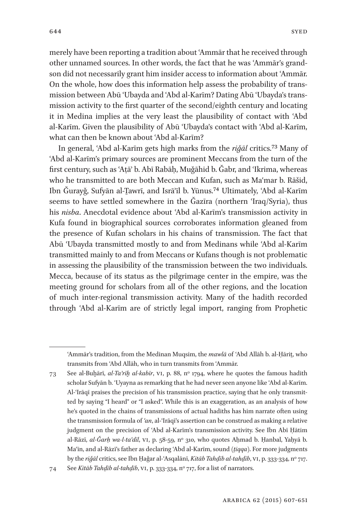merely have been reporting a tradition about ʿAmmār that he received through other unnamed sources. In other words, the fact that he was ʿAmmār's grandson did not necessarily grant him insider access to information about ʿAmmār. On the whole, how does this information help assess the probability of transmission between Abū ʿUbayda and ʿAbd al-Karīm? Dating Abū ʿUbayda's transmission activity to the first quarter of the second/eighth century and locating it in Medina implies at the very least the plausibility of contact with ʿAbd al-Karīm. Given the plausibility of Abū ʿUbayda's contact with ʿAbd al-Karīm, what can then be known about 'Abd al-Karīm?

In general, ʿAbd al-Karīm gets high marks from the *riǧāl* critics.73 Many of ʿAbd al-Karīm's primary sources are prominent Meccans from the turn of the first century, such as ʿAṭāʾ b. Abī Rabāḥ, Muǧāhid b. Ǧabr, and ʿIkrima, whereas who he transmitted to are both Meccan and Kufan, such as Maʿmar b. Rāšid, Ibn Ğurayğ, Sufyān al-Tawrī, and Isrā'īl b. Yūnus.<sup>74</sup> Ultimately, 'Abd al-Karīm seems to have settled somewhere in the Gazira (northern 'Iraq/Syria), thus his *nisba*. Anecdotal evidence about ʿAbd al-Karīm's transmission activity in Kufa found in biographical sources corroborates information gleaned from the presence of Kufan scholars in his chains of transmission. The fact that Abū ʿUbayda transmitted mostly to and from Medinans while ʿAbd al-Karīm transmitted mainly to and from Meccans or Kufans though is not problematic in assessing the plausibility of the transmission between the two individuals. Mecca, because of its status as the pilgrimage center in the empire, was the meeting ground for scholars from all of the other regions, and the location of much inter-regional transmission activity. Many of the hadith recorded through ʿAbd al-Karīm are of strictly legal import, ranging from Prophetic

ʿAmmār's tradition, from the Medinan Muqsim, the *mawlā* of ʿAbd Allāh b. al-Ḥāriṯ, who transmits from ʿAbd Allāh, who in turn transmits from ʿAmmār.

<sup>73</sup> See al-Buḫārī, *al-Taʾrīḫ al-kabīr*, VI, p. 88, no 1794, where he quotes the famous hadith scholar Sufyān b. ʿUyayna as remarking that he had never seen anyone like ʿAbd al-Karīm. Al-ʿIrāqī praises the precision of his transmission practice, saying that he only transmitted by saying "I heard" or "I asked". While this is an exaggeration, as an analysis of how he's quoted in the chains of transmissions of actual hadiths has him narrate often using the transmission formula of *ʿan*, al-ʿIrāqī's assertion can be construed as making a relative judgment on the precision of ʿAbd al-Karīm's transmission activity. See Ibn Abī Ḥātim al-Rāzī, *al-Ǧarḥ wa-l-taʿdīl*, VI, p. 58-59, no 310, who quotes Aḥmad b. Ḥanbal, Yaḥyā b. Maʿīn, and al-Rāzī's father as declaring ʿAbd al-Karīm, sound (*ṯiqqa*). For more judgments by the *riǧāl* critics, see Ibn Ḥaǧar al-ʿAsqalānī, *Kitāb Tahḏīb al-tahḏīb*, VI, p. 333-334, no 717.

<sup>74</sup> See *Kitāb Tahḏīb al-tahḏīb*, VI, p. 333-334, no 717, for a list of narrators.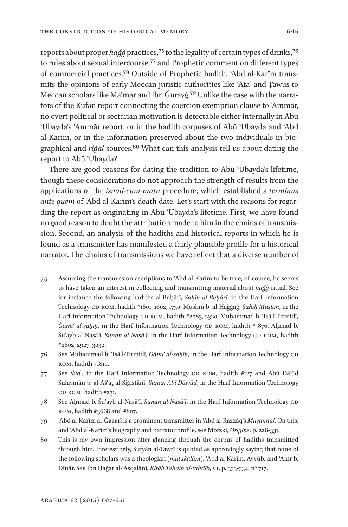reports about proper *haǧǧ* practices,<sup>75</sup> to the legality of certain types of drinks,<sup>76</sup> to rules about sexual intercourse,<sup>77</sup> and Prophetic comment on different types of commercial practices.78 Outside of Prophetic hadith, ʿAbd al-Karīm transmits the opinions of early Meccan juristic authorities like ʿAṭāʾ and Ṭāwūs to Meccan scholars like Ma'mar and Ibn Gurayǧ.<sup>79</sup> Unlike the case with the narrators of the Kufan report connecting the coercion exemption clause to ʿAmmār, no overt political or sectarian motivation is detectable either internally in Abū ʿUbayda's ʿAmmār report, or in the hadith corpuses of Abū ʿUbayda and ʿAbd al-Karīm, or in the information preserved about the two individuals in biographical and *riǧāl* sources.<sup>80</sup> What can this analysis tell us about dating the report to Abū 'Ubayda?

There are good reasons for dating the tradition to Abū 'Ubayda's lifetime, though these considerations do not approach the strength of results from the applications of the *isnad-cum-matn* procedure, which established a *terminus ante quem* of ʿAbd al-Karīm's death date. Let's start with the reasons for regarding the report as originating in Abū ʿUbayda's lifetime. First, we have found no good reason to doubt the attribution made to him in the chains of transmission. Second, an analysis of the hadiths and historical reports in which he is found as a transmitter has manifested a fairly plausible profile for a historical narrator. The chains of transmissions we have reflect that a diverse number of

<sup>75</sup> Assuming the transmission ascriptions to ʿAbd al-Karīm to be true, of course, he seems to have taken an interest in collecting and transmitting material about *ḥaǧǧ* ritual. See for instance the following hadiths al-Buḫārī, *Ṣaḥīḥ al-Buḫārī*, in the Harf Information Technology CD ROM, hadith #1601, 1602, 1730; Muslim b. al-Ḥaǧǧāǧ, *Ṣaḥīḥ Muslim*, in the Harf Information Technology CD ROM, hadith #2083, 2320; Muḥammad b. 'Īsā l-Tirmiḍī, *Ǧāmiʿ al-ṣaḥīḥ*, in the Harf Information Technology CD ROM, hadith # 876, Aḥmad b. Šuʿayb al-Nasāʾī, *Sunan al-Nasāʾī*, in the Harf Information Technology CD ROM, hadith #2802, 2927, 3032.

<sup>76</sup> See Muḥammad b. ʿĪsā l-Tirmiḏī, *Ǧāmiʿ al-ṣaḥīḥ*, in the Harf Information Technology CD ROM, hadith #1810.

<sup>77</sup> See *ibid.*, in the Harf Information Technology CD ROM, hadith #127 and Abū Dāʾūd Sulaymān b. al-Ašʿaṯ al-Siǧistānī, *Sunan Abī Dāwūd*, in the Harf Information Technology CD ROM, hadith #231.

<sup>78</sup> See Aḥmad b. Šuʿayb al-Nasāʾī, *Sunan al-Nasāʾī*, in the Harf Information Technology CD ROM, hadith #3668 and #807.

<sup>79</sup> ʿAbd al-Karīm al-Ǧazarī is a prominent transmitter in ʿAbd al-Razzāq's *Muṣannaf*. On this, and ʿAbd al-Karīm's biography and narrator profile, see Motzki, *Origins*, p. 226-331.

<sup>80</sup> This is my own impression after glancing through the corpus of hadiths transmitted through him. Interestingly, Sufyān al-Ṯawrī is quoted as approvingly saying that none of the following scholars was a theologian (*mutakallim*): ʿAbd al-Karīm, Ayyūb, and ʿAmr b. Dīnār. See Ibn Ḥaǧar al-ʿAsqalānī, *Kitāb Tahḏīb al-tahḏīb*, VI, p. 333-334, no 717.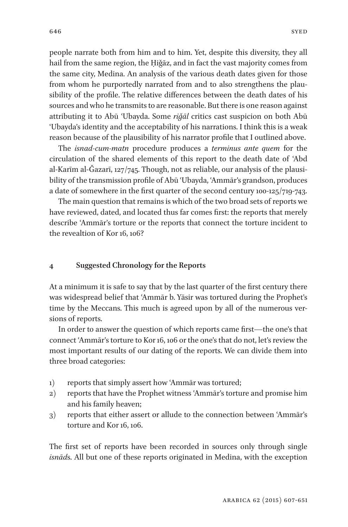people narrate both from him and to him. Yet, despite this diversity, they all hail from the same region, the Ḥiǧāz, and in fact the vast majority comes from the same city, Medina. An analysis of the various death dates given for those from whom he purportedly narrated from and to also strengthens the plausibility of the profile. The relative differences between the death dates of his sources and who he transmits to are reasonable. But there is one reason against attributing it to Abū ʿUbayda. Some *riǧāl* critics cast suspicion on both Abū ʿUbayda's identity and the acceptability of his narrations. I think this is a weak reason because of the plausibility of his narrator profile that I outlined above.

The *isnad-cum-matn* procedure produces a *terminus ante quem* for the circulation of the shared elements of this report to the death date of ʿAbd al-Karīm al-Ǧazarī, 127/745. Though, not as reliable, our analysis of the plausibility of the transmission profile of Abū 'Ubayda, 'Ammār's grandson, produces a date of somewhere in the first quarter of the second century 100-125/719-743.

The main question that remains is which of the two broad sets of reports we have reviewed, dated, and located thus far comes first: the reports that merely describe ʿAmmār's torture or the reports that connect the torture incident to the revealtion of Kor 16, 106?

#### **4 Suggested Chronology for the Reports**

At a minimum it is safe to say that by the last quarter of the first century there was widespread belief that ʿAmmār b. Yāsir was tortured during the Prophet's time by the Meccans. This much is agreed upon by all of the numerous versions of reports.

In order to answer the question of which reports came first—the one's that connect ʿAmmār's torture to Kor 16, 106 or the one's that do not, let's review the most important results of our dating of the reports. We can divide them into three broad categories:

- 1) reports that simply assert how 'Ammār was tortured;
- 2) reports that have the Prophet witness ʿAmmār's torture and promise him and his family heaven;
- 3) reports that either assert or allude to the connection between 'Ammār's torture and Kor 16, 106.

The first set of reports have been recorded in sources only through single *isnād*s. All but one of these reports originated in Medina, with the exception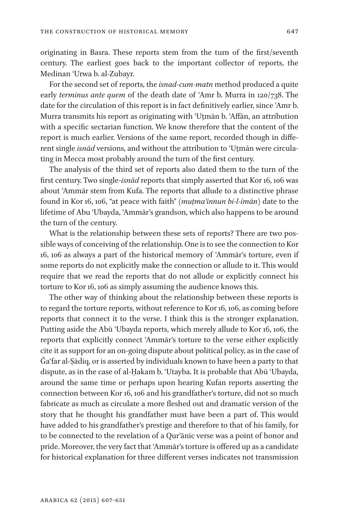originating in Basra. These reports stem from the turn of the first/seventh century. The earliest goes back to the important collector of reports, the Medinan ʿUrwa b. al-Zubayr.

For the second set of reports, the *isnad-cum-matn* method produced a quite early *terminus ante quem* of the death date of ʿAmr b. Murra in 120/738. The date for the circulation of this report is in fact definitively earlier, since ʿAmr b. Murra transmits his report as originating with 'Utmān b. 'Affān, an attribution with a specific sectarian function. We know therefore that the content of the report is much earlier. Versions of the same report, recorded though in different single *isnād* versions, and without the attribution to 'Utmān were circulating in Mecca most probably around the turn of the first century.

The analysis of the third set of reports also dated them to the turn of the first century. Two single-*isnād* reports that simply asserted that Kor 16, 106 was about ʿAmmār stem from Kufa. The reports that allude to a distinctive phrase found in Kor 16, 106, "at peace with faith" (*muṭmaʾinnun bi-l-īmān*) date to the lifetime of Abu 'Ubayda, 'Ammār's grandson, which also happens to be around the turn of the century.

What is the relationship between these sets of reports? There are two possible ways of conceiving of the relationship. One is to see the connection to Kor 16, 106 as always a part of the historical memory of ʿAmmār's torture, even if some reports do not explicitly make the connection or allude to it. This would require that we read the reports that do not allude or explicitly connect his torture to Kor 16, 106 as simply assuming the audience knows this.

The other way of thinking about the relationship between these reports is to regard the torture reports, without reference to Kor 16, 106, as coming before reports that connect it to the verse. I think this is the stronger explanation. Putting aside the Abū 'Ubayda reports, which merely allude to Kor 16, 106, the reports that explicitly connect ʿAmmār's torture to the verse either explicitly cite it as support for an on-going dispute about political policy, as in the case of Ǧaʿfar al-Ṣādiq, or is asserted by individuals known to have been a party to that dispute, as in the case of al-Ḥakam b. ʿUtayba. It is probable that Abū ʿUbayda, around the same time or perhaps upon hearing Kufan reports asserting the connection between Kor 16, 106 and his grandfather's torture, did not so much fabricate as much as circulate a more fleshed out and dramatic version of the story that he thought his grandfather must have been a part of. This would have added to his grandfather's prestige and therefore to that of his family, for to be connected to the revelation of a Qurʾānic verse was a point of honor and pride. Moreover, the very fact that ʿAmmār's torture is offered up as a candidate for historical explanation for three different verses indicates not transmission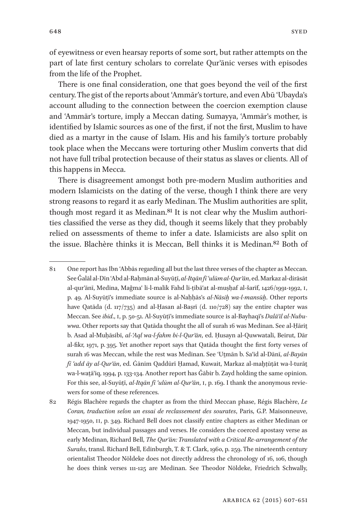of eyewitness or even hearsay reports of some sort, but rather attempts on the part of late first century scholars to correlate Qurʾānic verses with episodes

There is one final consideration, one that goes beyond the veil of the first century. The gist of the reports about ʿAmmār's torture, and even Abū ʿUbayda's account alluding to the connection between the coercion exemption clause and ʿAmmār's torture, imply a Meccan dating. Sumayya, ʿAmmār's mother, is identified by Islamic sources as one of the first, if not the first, Muslim to have died as a martyr in the cause of Islam. His and his family's torture probably took place when the Meccans were torturing other Muslim converts that did not have full tribal protection because of their status as slaves or clients. All of this happens in Mecca.

There is disagreement amongst both pre-modern Muslim authorities and modern Islamicists on the dating of the verse, though I think there are very strong reasons to regard it as early Medinan. The Muslim authorities are split, though most regard it as Medinan.<sup>81</sup> It is not clear why the Muslim authorities classified the verse as they did, though it seems likely that they probably relied on assessments of theme to infer a date. Islamicists are also split on the issue. Blachère thinks it is Meccan, Bell thinks it is Medinan.82 Both of

from the life of the Prophet.

<sup>81</sup> One report has Ibn ʿAbbās regarding all but the last three verses of the chapter as Meccan. See Ǧalāl al-Dīn ʿAbd al-Raḥmān al-Suyūṭī, *al-Itqān fī ʿulūm al-Qurʾān*, ed. Markaz al-dirāsāt al-qurʾānī, Medina, Maǧmaʿ li-l-malik Fahd li-ṭibāʿat al-muṣḥaf al-šarīf, 1426/1991-1992, I, p. 49. Al-Suyūṭī's immediate source is al-Naḥḥās's *al-Nāsiḫ wa-l-mansūḫ*. Other reports have Qatāda (d. 117/735) and al-Ḥasan al-Baṣrī (d. 110/728) say the entire chapter was Meccan. See *ibid*., I, p. 50-51. Al-Suyūṭī's immediate source is al-Bayhaqī's *Dalāʾil al-Nubuwwa*. Other reports say that Qatāda thought the all of surah 16 was Medinan. See al-Ḥāriṯ b. Asad al-Muḥāsibī, *al-ʿAql wa-l-fahm bi-l-Qurʾān*, ed. Ḥusayn al-Quwwatalī, Beirut, Dār al-fikr, 1971, p. 395. Yet another report says that Qatāda thought the first forty verses of surah 16 was Meccan, while the rest was Medinan. See ʿUṯmān b. Saʿīd al-Dānī, *al-Bayān fī ʿadd āy al-Qurʾān*, ed. Ġānim Qaddūrī Ḥamad, Kuwait, Markaz al-maḫṭūṭāt wa-l-turāṯ wa-l-waṯāʾiq, 1994, p. 133-134. Another report has Ǧābir b. Zayd holding the same opinion. For this see, al-Suyūṭī, *al-Itqān fī ʿulūm al-Qurʾān*, I, p. 169. I thank the anonymous reviewers for some of these references.

<sup>82</sup> Régis Blachère regards the chapter as from the third Meccan phase, Régis Blachère, *Le Coran, traduction selon un essai de reclassement des sourates*, Paris, G.P. Maisonneuve, 1947-1950, II, p. 349. Richard Bell does not classify entire chapters as either Medinan or Meccan, but individual passages and verses. He considers the coerced apostasy verse as early Medinan, Richard Bell, *The Qurʾān: Translated with a Critical Re-arrangement of the Surahs*, transl. Richard Bell, Edinburgh, T. & T. Clark, 1960, p. 259. The nineteenth century orientalist Theodor Nöldeke does not directly address the chronology of 16, 106, though he does think verses 111-125 are Medinan. See Theodor Nöldeke, Friedrich Schwally,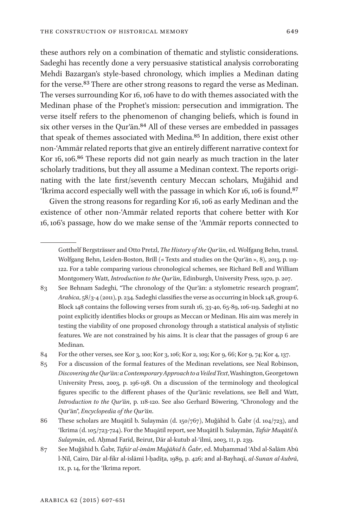these authors rely on a combination of thematic and stylistic considerations. Sadeghi has recently done a very persuasive statistical analysis corroborating Mehdi Bazargan's style-based chronology, which implies a Medinan dating for the verse.83 There are other strong reasons to regard the verse as Medinan. The verses surrounding Kor 16, 106 have to do with themes associated with the Medinan phase of the Prophet's mission: persecution and immigration. The verse itself refers to the phenomenon of changing beliefs, which is found in six other verses in the Qur'ān.<sup>84</sup> All of these verses are embedded in passages that speak of themes associated with Medina.<sup>85</sup> In addition, there exist other non-ʿAmmār related reports that give an entirely different narrative context for Kor 16, 106.<sup>86</sup> These reports did not gain nearly as much traction in the later scholarly traditions, but they all assume a Medinan context. The reports originating with the late first/seventh century Meccan scholars, Muǧāhid and Tkrima accord especially well with the passage in which Kor  $16$ ,  $106$  is found.<sup>87</sup>

Given the strong reasons for regarding Kor 16, 106 as early Medinan and the existence of other non-ʿAmmār related reports that cohere better with Kor 16, 106's passage, how do we make sense of the ʿAmmār reports connected to

85 For a discussion of the formal features of the Medinan revelations, see Neal Robinson, *Discovering the Qurʾān: a Contemporary Approach to a Veiled Text*, Washington, Georgetown University Press, 2003, p. 196-198. On a discussion of the terminology and theological figures specific to the different phases of the Qurʾānic revelations, see Bell and Watt, *Introduction to the Qurʾān*, p. 118-120. See also Gerhard Böwering, "Chronology and the Qurʾān", *Encyclopedia of the Qurʾān*.

86 These scholars are Muqātil b. Sulaymān (d. 150/767), Muǧāhid b. Ǧabr (d. 104/723), and ʿIkrima (d. 105/723-724). For the Muqātil report, see Muqātil b. Sulaymān, *Tafsīr Muqātil b. Sulaymān*, ed. Aḥmad Farīd, Beirut, Dār al-kutub al-ʿilmī, 2003, II, p. 239.

87 See Muǧāhid b. Ǧabr, *Tafsīr al-imām Muǧāhid b. Ǧabr*, ed. Muḥammad ʿAbd al-Salām Abū l-Nīl, Cairo, Dār al-fikr al-islāmī l-ḥadīṯa, 1989, p. 426; and al-Bayhaqī, *al-Sunan al-kubrā*, IX, p. 14, for the 'Ikrima report.

Gotthelf Bergsträsser and Otto Pretzl, *The History of the Qurʾān*, ed. Wolfgang Behn, transl. Wolfgang Behn, Leiden-Boston, Brill (« Texts and studies on the Qurʾān », 8), 2013, p. 119- 122. For a table comparing various chronological schemes, see Richard Bell and William Montgomery Watt, *Introduction to the Qurʾān*, Edinburgh, University Press, 1970, p. 207.

<sup>83</sup> See Behnam Sadeghi, "The chronology of the Qurʾān: a stylometric research program", *Arabica*, 58/3-4 (2011), p. 234. Sadeghi classifies the verse as occurring in block 148, group 6. Block 148 contains the following verses from surah 16, 33-40, 65-89, 106-119. Sadeghi at no point explicitly identifies blocks or groups as Meccan or Medinan. His aim was merely in testing the viability of one proposed chronology through a statistical analysis of stylistic features. We are not constrained by his aims. It is clear that the passages of group 6 are Medinan.

<sup>84</sup> For the other verses, see Kor 3, 100; Kor 3, 106; Kor 2, 109; Kor 9, 66; Kor 9, 74; Kor 4, 137.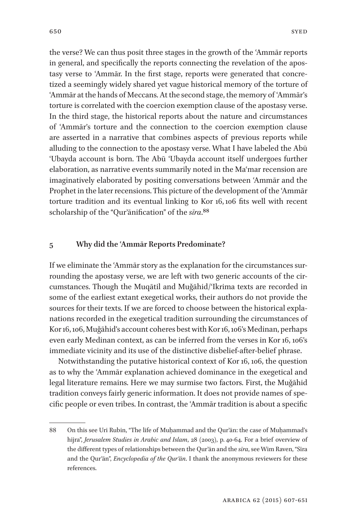the verse? We can thus posit three stages in the growth of the ʿAmmār reports in general, and specifically the reports connecting the revelation of the apostasy verse to 'Ammār. In the first stage, reports were generated that concretized a seemingly widely shared yet vague historical memory of the torture of ʿAmmār at the hands of Meccans. At the second stage, the memory of ʿAmmār's torture is correlated with the coercion exemption clause of the apostasy verse. In the third stage, the historical reports about the nature and circumstances of ʿAmmār's torture and the connection to the coercion exemption clause are asserted in a narrative that combines aspects of previous reports while alluding to the connection to the apostasy verse. What I have labeled the Abū 'Ubayda account is born. The Abū 'Ubayda account itself undergoes further elaboration, as narrative events summarily noted in the Maʿmar recension are imaginatively elaborated by positing conversations between ʿAmmār and the Prophet in the later recensions. This picture of the development of the 'Ammār torture tradition and its eventual linking to Kor 16, 106 fits well with recent scholarship of the "Qurʾānification" of the *sīra*.88

#### **5 Why did the ʿAmmār Reports Predominate?**

If we eliminate the 'Ammār story as the explanation for the circumstances surrounding the apostasy verse, we are left with two generic accounts of the circumstances. Though the Muqātil and Muǧāhid/ʿIkrima texts are recorded in some of the earliest extant exegetical works, their authors do not provide the sources for their texts. If we are forced to choose between the historical explanations recorded in the exegetical tradition surrounding the circumstances of Kor 16, 106, Muǧāhid's account coheres best with Kor 16, 106's Medinan, perhaps even early Medinan context, as can be inferred from the verses in Kor 16, 106's immediate vicinity and its use of the distinctive disbelief-after-belief phrase.

Notwithstanding the putative historical context of Kor 16, 106, the question as to why the ʿAmmār explanation achieved dominance in the exegetical and legal literature remains. Here we may surmise two factors. First, the Muǧāhid tradition conveys fairly generic information. It does not provide names of specific people or even tribes. In contrast, the ʿAmmār tradition is about a specific

<sup>88</sup> On this see Uri Rubin, "The life of Muḥammad and the Qurʾān: the case of Muḥammad's hijra", *Jerusalem Studies in Arabic and Islam*, 28 (2003), p. 40-64. For a brief overview of the different types of relationships between the Qurʾān and the *sīra*, see Wim Raven, "Sīra and the Qurʾān", *Encyclopedia of the Qurʾān*. I thank the anonymous reviewers for these references.